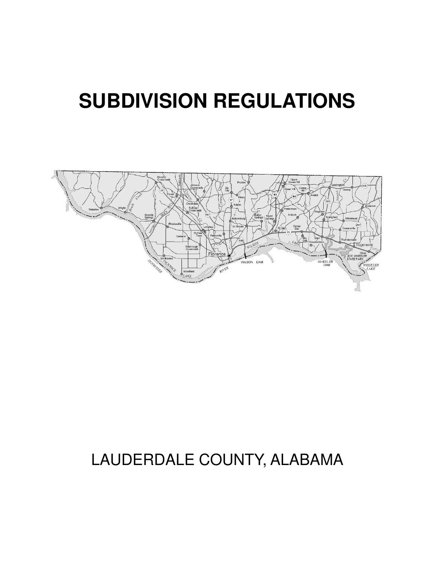# **SUBDIVISION REGULATIONS**



# LAUDERDALE COUNTY, ALABAMA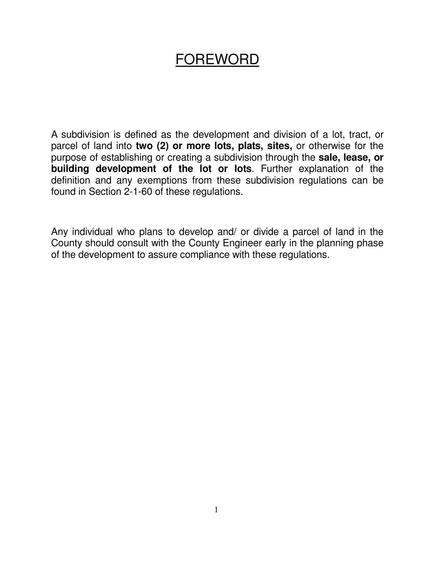## FOREWORD

A subdivision is defined as the development and division of a lot, tract, or parcel of land into **two (2) or more lots, plats, sites,** or otherwise for the purpose of establishing or creating a subdivision through the **sale, lease, or building development of the lot or lots**. Further explanation of the definition and any exemptions from these subdivision regulations can be found in Section 2-1-60 of these regulations.

Any individual who plans to develop and/ or divide a parcel of land in the County should consult with the County Engineer early in the planning phase of the development to assure compliance with these regulations.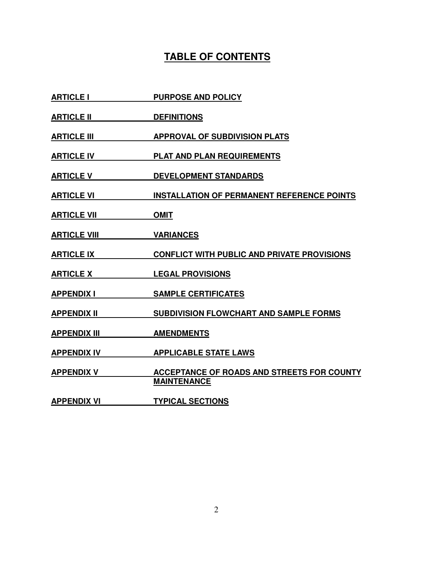## **TABLE OF CONTENTS**

- **ARTICLE I** PURPOSE AND POLICY
- **ARTICLE II** DEFINITIONS
- **ARTICLE III APPROVAL OF SUBDIVISION PLATS**
- **ARTICLE IV PLAT AND PLAN REQUIREMENTS**
- **ARTICLE V DEVELOPMENT STANDARDS**
- **ARTICLE VI INSTALLATION OF PERMANENT REFERENCE POINTS**
- **ARTICLE VII OMIT**
- **ARTICLE VIII VARIANCES**
- **ARTICLE IX CONFLICT WITH PUBLIC AND PRIVATE PROVISIONS**
- **ARTICLE X LEGAL PROVISIONS**
- **APPENDIX I SAMPLE CERTIFICATES**
- **APPENDIX II SUBDIVISION FLOWCHART AND SAMPLE FORMS**
- **APPENDIX III AMENDMENTS**
- **APPENDIX IV APPLICABLE STATE LAWS**
- **APPENDIX V ACCEPTANCE OF ROADS AND STREETS FOR COUNTY MAINTENANCE**
- APPENDIX VI **TYPICAL SECTIONS**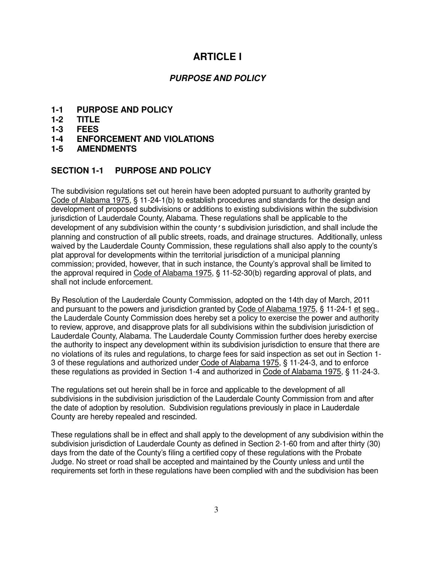### **ARTICLE I**

#### **PURPOSE AND POLICY**

- **1-1 PURPOSE AND POLICY**
- **1-2 TITLE**
- **1-3 FEES**
- **1-4 ENFORCEMENT AND VIOLATIONS**
- **1-5 AMENDMENTS**

#### **SECTION 1-1 PURPOSE AND POLICY**

The subdivision regulations set out herein have been adopted pursuant to authority granted by Code of Alabama 1975, § 11-24-1(b) to establish procedures and standards for the design and development of proposed subdivisions or additions to existing subdivisions within the subdivision jurisdiction of Lauderdale County, Alabama. These regulations shall be applicable to the development of any subdivision within the county's subdivision jurisdiction, and shall include the planning and construction of all public streets, roads, and drainage structures. Additionally, unless waived by the Lauderdale County Commission, these regulations shall also apply to the county's plat approval for developments within the territorial jurisdiction of a municipal planning commission; provided, however, that in such instance, the County's approval shall be limited to the approval required in Code of Alabama 1975, § 11-52-30(b) regarding approval of plats, and shall not include enforcement.

By Resolution of the Lauderdale County Commission, adopted on the 14th day of March, 2011 and pursuant to the powers and jurisdiction granted by Code of Alabama 1975, § 11-24-1 et seq., the Lauderdale County Commission does hereby set a policy to exercise the power and authority to review, approve, and disapprove plats for all subdivisions within the subdivision jurisdiction of Lauderdale County, Alabama. The Lauderdale County Commission further does hereby exercise the authority to inspect any development within its subdivision jurisdiction to ensure that there are no violations of its rules and regulations, to charge fees for said inspection as set out in Section 1- 3 of these regulations and authorized under Code of Alabama 1975, § 11-24-3, and to enforce these regulations as provided in Section 1-4 and authorized in Code of Alabama 1975, § 11-24-3.

The regulations set out herein shall be in force and applicable to the development of all subdivisions in the subdivision jurisdiction of the Lauderdale County Commission from and after the date of adoption by resolution. Subdivision regulations previously in place in Lauderdale County are hereby repealed and rescinded.

These regulations shall be in effect and shall apply to the development of any subdivision within the subdivision jurisdiction of Lauderdale County as defined in Section 2-1-60 from and after thirty (30) days from the date of the County's filing a certified copy of these regulations with the Probate Judge. No street or road shall be accepted and maintained by the County unless and until the requirements set forth in these regulations have been complied with and the subdivision has been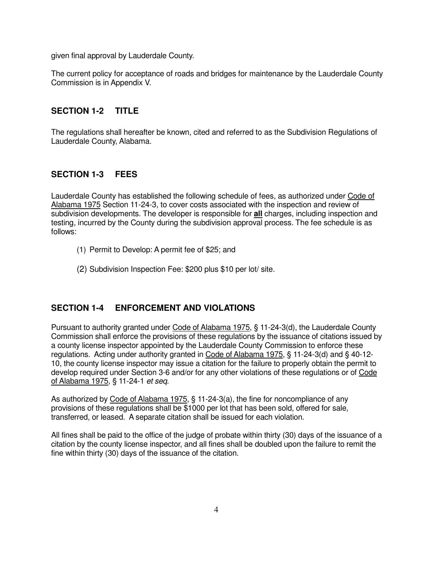given final approval by Lauderdale County.

The current policy for acceptance of roads and bridges for maintenance by the Lauderdale County Commission is in Appendix V.

#### **SECTION 1-2 TITLE**

The regulations shall hereafter be known, cited and referred to as the Subdivision Regulations of Lauderdale County, Alabama.

#### **SECTION 1-3 FEES**

Lauderdale County has established the following schedule of fees, as authorized under Code of Alabama 1975 Section 11-24-3, to cover costs associated with the inspection and review of subdivision developments. The developer is responsible for **all** charges, including inspection and testing, incurred by the County during the subdivision approval process. The fee schedule is as follows:

- (1) Permit to Develop: A permit fee of \$25; and
- (2) Subdivision Inspection Fee: \$200 plus \$10 per lot/ site.

#### **SECTION 1-4 ENFORCEMENT AND VIOLATIONS**

Pursuant to authority granted under Code of Alabama 1975, § 11-24-3(d), the Lauderdale County Commission shall enforce the provisions of these regulations by the issuance of citations issued by a county license inspector appointed by the Lauderdale County Commission to enforce these regulations. Acting under authority granted in Code of Alabama 1975, § 11-24-3(d) and § 40-12- 10, the county license inspector may issue a citation for the failure to properly obtain the permit to develop required under Section 3-6 and/or for any other violations of these regulations or of Code of Alabama 1975, § 11-24-1 et seq.

As authorized by Code of Alabama 1975, § 11-24-3(a), the fine for noncompliance of any provisions of these regulations shall be \$1000 per lot that has been sold, offered for sale, transferred, or leased. A separate citation shall be issued for each violation.

All fines shall be paid to the office of the judge of probate within thirty (30) days of the issuance of a citation by the county license inspector, and all fines shall be doubled upon the failure to remit the fine within thirty (30) days of the issuance of the citation.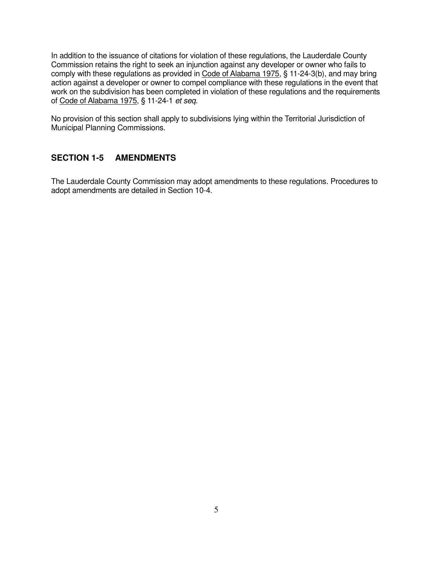In addition to the issuance of citations for violation of these regulations, the Lauderdale County Commission retains the right to seek an injunction against any developer or owner who fails to comply with these regulations as provided in Code of Alabama 1975, § 11-24-3(b), and may bring action against a developer or owner to compel compliance with these regulations in the event that work on the subdivision has been completed in violation of these regulations and the requirements of Code of Alabama 1975, § 11-24-1 et seq.

No provision of this section shall apply to subdivisions lying within the Territorial Jurisdiction of Municipal Planning Commissions.

#### **SECTION 1-5 AMENDMENTS**

The Lauderdale County Commission may adopt amendments to these regulations. Procedures to adopt amendments are detailed in Section 10-4.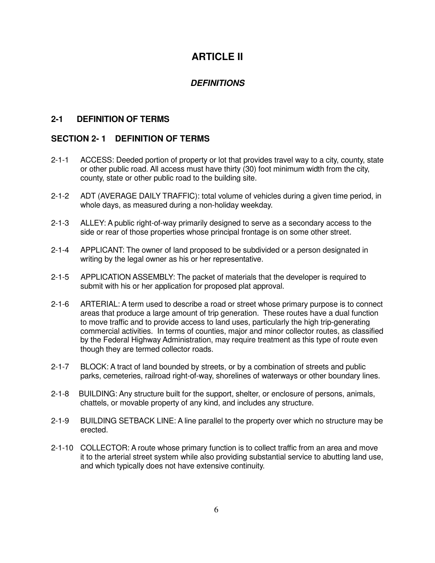## **ARTICI F II**

#### **DEFINITIONS**

#### **2-1 DEFINITION OF TERMS**

#### **SECTION 2- 1 DEFINITION OF TERMS**

- 2-1-1 ACCESS: Deeded portion of property or lot that provides travel way to a city, county, state or other public road. All access must have thirty (30) foot minimum width from the city, county, state or other public road to the building site.
- 2-1-2 ADT (AVERAGE DAILY TRAFFIC): total volume of vehicles during a given time period, in whole days, as measured during a non-holiday weekday.
- 2-1-3 ALLEY: A public right-of-way primarily designed to serve as a secondary access to the side or rear of those properties whose principal frontage is on some other street.
- 2-1-4 APPLICANT: The owner of land proposed to be subdivided or a person designated in writing by the legal owner as his or her representative.
- 2-1-5 APPLICATION ASSEMBLY: The packet of materials that the developer is required to submit with his or her application for proposed plat approval.
- 2-1-6 ARTERIAL: A term used to describe a road or street whose primary purpose is to connect areas that produce a large amount of trip generation. These routes have a dual function to move traffic and to provide access to land uses, particularly the high trip-generating commercial activities. In terms of counties, major and minor collector routes, as classified by the Federal Highway Administration, may require treatment as this type of route even though they are termed collector roads.
- 2-1-7 BLOCK: A tract of land bounded by streets, or by a combination of streets and public parks, cemeteries, railroad right-of-way, shorelines of waterways or other boundary lines.
- 2-1-8 BUILDING: Any structure built for the support, shelter, or enclosure of persons, animals, chattels, or movable property of any kind, and includes any structure.
- 2-1-9 BUILDING SETBACK LINE: A line parallel to the property over which no structure may be erected.
- 2-1-10 COLLECTOR: A route whose primary function is to collect traffic from an area and move it to the arterial street system while also providing substantial service to abutting land use, and which typically does not have extensive continuity.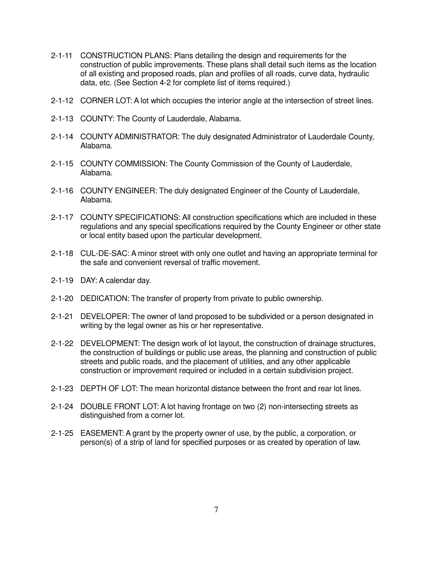- 2-1-11 CONSTRUCTION PLANS: Plans detailing the design and requirements for the construction of public improvements. These plans shall detail such items as the location of all existing and proposed roads, plan and profiles of all roads, curve data, hydraulic data, etc. (See Section 4-2 for complete list of items required.)
- 2-1-12 CORNER LOT: A lot which occupies the interior angle at the intersection of street lines.
- 2-1-13 COUNTY: The County of Lauderdale, Alabama.
- 2-1-14 COUNTY ADMINISTRATOR: The duly designated Administrator of Lauderdale County, Alabama.
- 2-1-15 COUNTY COMMISSION: The County Commission of the County of Lauderdale, Alabama.
- 2-1-16 COUNTY ENGINEER: The duly designated Engineer of the County of Lauderdale, Alabama.
- 2-1-17 COUNTY SPECIFICATIONS: All construction specifications which are included in these regulations and any special specifications required by the County Engineer or other state or local entity based upon the particular development.
- 2-1-18 CUL-DE-SAC: A minor street with only one outlet and having an appropriate terminal for the safe and convenient reversal of traffic movement.
- 2-1-19 DAY: A calendar day.
- 2-1-20 DEDICATION: The transfer of property from private to public ownership.
- 2-1-21 DEVELOPER: The owner of land proposed to be subdivided or a person designated in writing by the legal owner as his or her representative.
- 2-1-22 DEVELOPMENT: The design work of lot layout, the construction of drainage structures, the construction of buildings or public use areas, the planning and construction of public streets and public roads, and the placement of utilities, and any other applicable construction or improvement required or included in a certain subdivision project.
- 2-1-23 DEPTH OF LOT: The mean horizontal distance between the front and rear lot lines.
- 2-1-24 DOUBLE FRONT LOT: A lot having frontage on two (2) non-intersecting streets as distinguished from a corner lot.
- 2-1-25 EASEMENT: A grant by the property owner of use, by the public, a corporation, or person(s) of a strip of land for specified purposes or as created by operation of law.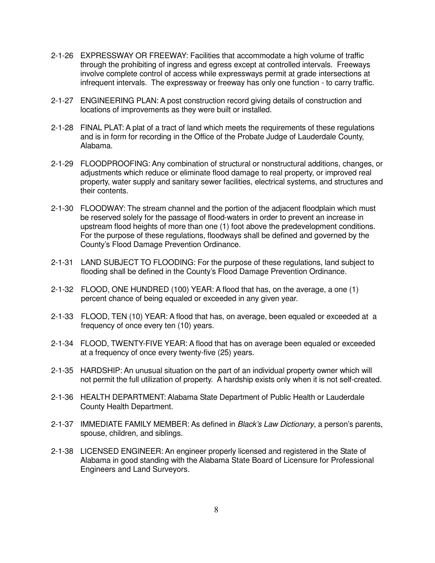- 2-1-26 EXPRESSWAY OR FREEWAY: Facilities that accommodate a high volume of traffic through the prohibiting of ingress and egress except at controlled intervals. Freeways involve complete control of access while expressways permit at grade intersections at infrequent intervals. The expressway or freeway has only one function - to carry traffic.
- 2-1-27 ENGINEERING PLAN: A post construction record giving details of construction and locations of improvements as they were built or installed.
- 2-1-28 FINAL PLAT: A plat of a tract of land which meets the requirements of these regulations and is in form for recording in the Office of the Probate Judge of Lauderdale County, Alabama.
- 2-1-29 FLOODPROOFING: Any combination of structural or nonstructural additions, changes, or adjustments which reduce or eliminate flood damage to real property, or improved real property, water supply and sanitary sewer facilities, electrical systems, and structures and their contents.
- 2-1-30 FLOODWAY: The stream channel and the portion of the adjacent floodplain which must be reserved solely for the passage of flood-waters in order to prevent an increase in upstream flood heights of more than one (1) foot above the predevelopment conditions. For the purpose of these regulations, floodways shall be defined and governed by the County's Flood Damage Prevention Ordinance.
- 2-1-31 LAND SUBJECT TO FLOODING: For the purpose of these regulations, land subject to flooding shall be defined in the County's Flood Damage Prevention Ordinance.
- 2-1-32FLOOD, ONE HUNDRED (100) YEAR: A flood that has, on the average, a one (1) percent chance of being equaled or exceeded in any given year.
- 2-1-33FLOOD, TEN (10) YEAR: A flood that has, on average, been equaled or exceeded at a frequency of once every ten (10) years.
- 2-1-34 FLOOD, TWENTY-FIVE YEAR: A flood that has on average been equaled or exceeded at a frequency of once every twenty-five (25) years.
- 2-1-35 HARDSHIP: An unusual situation on the part of an individual property owner which will not permit the full utilization of property. A hardship exists only when it is not self-created.
- 2-1-36 HEALTH DEPARTMENT: Alabama State Department of Public Health or Lauderdale County Health Department.
- 2-1-37 IMMEDIATE FAMILY MEMBER: As defined in *Black's Law Dictionary*, a person's parents, spouse, children, and siblings.
- 2-1-38 LICENSED ENGINEER: An engineer properly licensed and registered in the State of Alabama in good standing with the Alabama State Board of Licensure for Professional Engineers and Land Surveyors.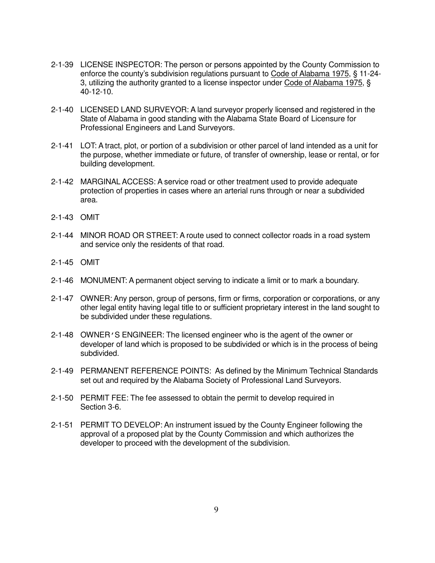- 2-1-39 LICENSE INSPECTOR: The person or persons appointed by the County Commission to enforce the county's subdivision regulations pursuant to Code of Alabama 1975, § 11-24- 3, utilizing the authority granted to a license inspector under Code of Alabama 1975, § 40-12-10.
- 2-1-40 LICENSED LAND SURVEYOR: A land surveyor properly licensed and registered in the State of Alabama in good standing with the Alabama State Board of Licensure for Professional Engineers and Land Surveyors.
- 2-1-41 LOT: A tract, plot, or portion of a subdivision or other parcel of land intended as a unit for the purpose, whether immediate or future, of transfer of ownership, lease or rental, or for building development.
- 2-1-42 MARGINAL ACCESS: A service road or other treatment used to provide adequate protection of properties in cases where an arterial runs through or near a subdivided area.
- 2-1-43 OMIT
- 2-1-44 MINOR ROAD OR STREET: A route used to connect collector roads in a road system and service only the residents of that road.
- 2-1-45 OMIT
- 2-1-46 MONUMENT: A permanent object serving to indicate a limit or to mark a boundary.
- 2-1-47 OWNER: Any person, group of persons, firm or firms, corporation or corporations, or any other legal entity having legal title to or sufficient proprietary interest in the land sought to be subdivided under these regulations.
- 2-1-48 OWNER'S ENGINEER: The licensed engineer who is the agent of the owner or developer of land which is proposed to be subdivided or which is in the process of being subdivided.
- 2-1-49 PERMANENT REFERENCE POINTS: As defined by the Minimum Technical Standards set out and required by the Alabama Society of Professional Land Surveyors.
- 2-1-50 PERMIT FEE: The fee assessed to obtain the permit to develop required in Section 3-6.
- 2-1-51 PERMIT TO DEVELOP: An instrument issued by the County Engineer following the approval of a proposed plat by the County Commission and which authorizes the developer to proceed with the development of the subdivision.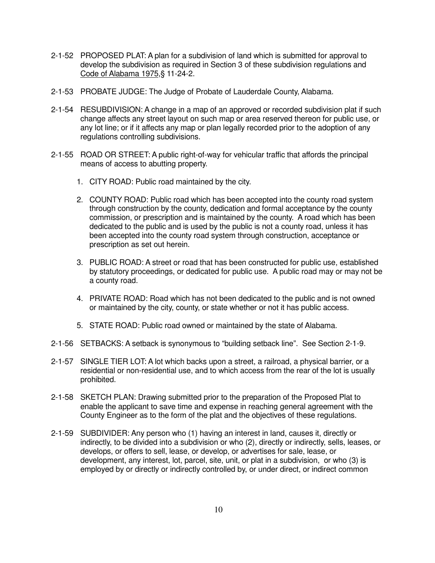- 2-1-52 PROPOSED PLAT: A plan for a subdivision of land which is submitted for approval to develop the subdivision as required in Section 3 of these subdivision regulations and Code of Alabama 1975,§ 11-24-2.
- 2-1-53 PROBATE JUDGE: The Judge of Probate of Lauderdale County, Alabama.
- 2-1-54 RESUBDIVISION: A change in a map of an approved or recorded subdivision plat if such change affects any street layout on such map or area reserved thereon for public use, or any lot line; or if it affects any map or plan legally recorded prior to the adoption of any regulations controlling subdivisions.
- 2-1-55 ROAD OR STREET: A public right-of-way for vehicular traffic that affords the principal means of access to abutting property.
	- 1. CITY ROAD: Public road maintained by the city.
	- 2. COUNTY ROAD: Public road which has been accepted into the county road system through construction by the county, dedication and formal acceptance by the county commission, or prescription and is maintained by the county. A road which has been dedicated to the public and is used by the public is not a county road, unless it has been accepted into the county road system through construction, acceptance or prescription as set out herein.
	- 3. PUBLIC ROAD: A street or road that has been constructed for public use, established by statutory proceedings, or dedicated for public use. A public road may or may not be a county road.
	- 4. PRIVATE ROAD: Road which has not been dedicated to the public and is not owned or maintained by the city, county, or state whether or not it has public access.
	- 5. STATE ROAD: Public road owned or maintained by the state of Alabama.
- 2-1-56 SETBACKS: A setback is synonymous to "building setback line". See Section 2-1-9.
- 2-1-57 SINGLE TIER LOT: A lot which backs upon a street, a railroad, a physical barrier, or a residential or non-residential use, and to which access from the rear of the lot is usually prohibited.
- 2-1-58 SKETCH PLAN: Drawing submitted prior to the preparation of the Proposed Plat to enable the applicant to save time and expense in reaching general agreement with the County Engineer as to the form of the plat and the objectives of these regulations.
- 2-1-59 SUBDIVIDER: Any person who (1) having an interest in land, causes it, directly or indirectly, to be divided into a subdivision or who (2), directly or indirectly, sells, leases, or develops, or offers to sell, lease, or develop, or advertises for sale, lease, or development, any interest, lot, parcel, site, unit, or plat in a subdivision, or who (3) is employed by or directly or indirectly controlled by, or under direct, or indirect common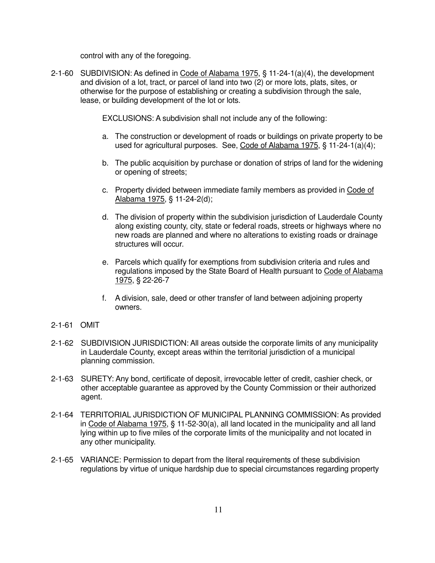control with any of the foregoing.

2-1-60 SUBDIVISION: As defined in Code of Alabama 1975, § 11-24-1(a)(4), the development and division of a lot, tract, or parcel of land into two (2) or more lots, plats, sites, or otherwise for the purpose of establishing or creating a subdivision through the sale, lease, or building development of the lot or lots.

EXCLUSIONS: A subdivision shall not include any of the following:

- a. The construction or development of roads or buildings on private property to be used for agricultural purposes. See, Code of Alabama 1975, § 11-24-1(a)(4);
- b. The public acquisition by purchase or donation of strips of land for the widening or opening of streets;
- c. Property divided between immediate family members as provided in Code of Alabama 1975, § 11-24-2(d);
- d. The division of property within the subdivision jurisdiction of Lauderdale County along existing county, city, state or federal roads, streets or highways where no new roads are planned and where no alterations to existing roads or drainage structures will occur.
- e. Parcels which qualify for exemptions from subdivision criteria and rules and regulations imposed by the State Board of Health pursuant to Code of Alabama 1975, § 22-26-7
- f. A division, sale, deed or other transfer of land between adjoining property owners.
- 2-1-61 OMIT
- 2-1-62 SUBDIVISION JURISDICTION: All areas outside the corporate limits of any municipality in Lauderdale County, except areas within the territorial jurisdiction of a municipal planning commission.
- 2-1-63 SURETY: Any bond, certificate of deposit, irrevocable letter of credit, cashier check, or other acceptable guarantee as approved by the County Commission or their authorized agent.
- 2-1-64 TERRITORIAL JURISDICTION OF MUNICIPAL PLANNING COMMISSION: As provided in Code of Alabama 1975, § 11-52-30(a), all land located in the municipality and all land lying within up to five miles of the corporate limits of the municipality and not located in any other municipality.
- 2-1-65 VARIANCE: Permission to depart from the literal requirements of these subdivision regulations by virtue of unique hardship due to special circumstances regarding property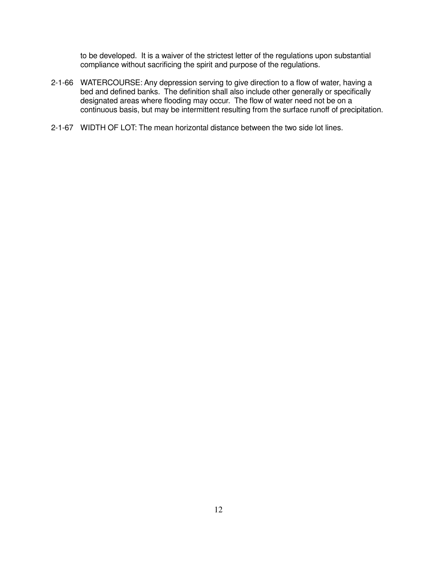to be developed. It is a waiver of the strictest letter of the regulations upon substantial compliance without sacrificing the spirit and purpose of the regulations.

- 2-1-66 WATERCOURSE: Any depression serving to give direction to a flow of water, having a bed and defined banks. The definition shall also include other generally or specifically designated areas where flooding may occur. The flow of water need not be on a continuous basis, but may be intermittent resulting from the surface runoff of precipitation.
- 2-1-67 WIDTH OF LOT: The mean horizontal distance between the two side lot lines.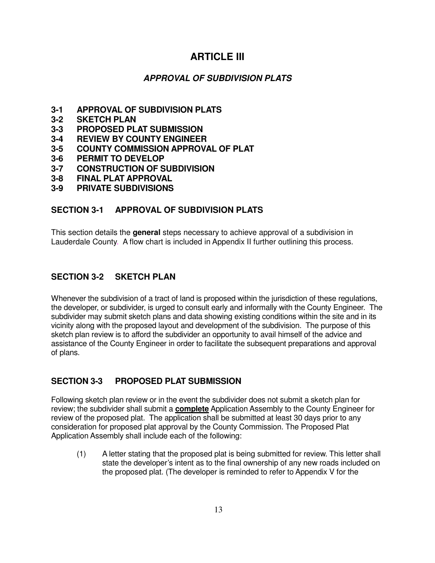## **ARTICLE III**

#### **APPROVAL OF SUBDIVISION PLATS**

- **3-1 APPROVAL OF SUBDIVISION PLATS**
- **3-2 SKETCH PLAN**
- **3-3 PROPOSED PLAT SUBMISSION**
- **3-4 REVIEW BY COUNTY ENGINEER**
- **3-5 COUNTY COMMISSION APPROVAL OF PLAT**
- **3-6 PERMIT TO DEVELOP**
- **3-7 CONSTRUCTION OF SUBDIVISION**
- **3-8 FINAL PLAT APPROVAL**
- **3-9 PRIVATE SUBDIVISIONS**

#### **SECTION 3-1 APPROVAL OF SUBDIVISION PLATS**

This section details the **general** steps necessary to achieve approval of a subdivision in Lauderdale County. A flow chart is included in Appendix II further outlining this process.

#### **SECTION 3-2 SKETCH PLAN**

Whenever the subdivision of a tract of land is proposed within the jurisdiction of these regulations, the developer, or subdivider, is urged to consult early and informally with the County Engineer. The subdivider may submit sketch plans and data showing existing conditions within the site and in its vicinity along with the proposed layout and development of the subdivision. The purpose of this sketch plan review is to afford the subdivider an opportunity to avail himself of the advice and assistance of the County Engineer in order to facilitate the subsequent preparations and approval of plans.

#### **SECTION 3-3 PROPOSED PLAT SUBMISSION**

Following sketch plan review or in the event the subdivider does not submit a sketch plan for review; the subdivider shall submit a **complete** Application Assembly to the County Engineer for review of the proposed plat. The application shall be submitted at least 30 days prior to any consideration for proposed plat approval by the County Commission. The Proposed Plat Application Assembly shall include each of the following:

 (1) A letter stating that the proposed plat is being submitted for review. This letter shall state the developer's intent as to the final ownership of any new roads included on the proposed plat. (The developer is reminded to refer to Appendix V for the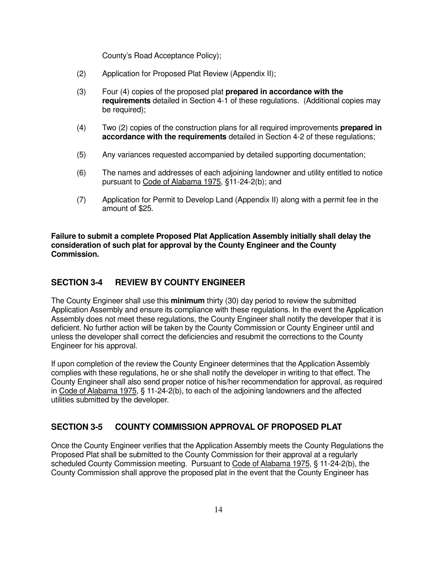County's Road Acceptance Policy);

- (2) Application for Proposed Plat Review (Appendix II);
- (3) Four (4) copies of the proposed plat **prepared in accordance with the requirements** detailed in Section 4-1 of these regulations. (Additional copies may be required);
- (4) Two (2) copies of the construction plans for all required improvements **prepared in accordance with the requirements** detailed in Section 4-2 of these regulations;
- (5) Any variances requested accompanied by detailed supporting documentation;
- (6) The names and addresses of each adjoining landowner and utility entitled to notice pursuant to Code of Alabama 1975, §11-24-2(b); and
- (7) Application for Permit to Develop Land (Appendix II) along with a permit fee in the amount of \$25.

**Failure to submit a complete Proposed Plat Application Assembly initially shall delay the consideration of such plat for approval by the County Engineer and the County Commission.** 

#### **SECTION 3-4 REVIEW BY COUNTY ENGINEER**

The County Engineer shall use this **minimum** thirty (30) day period to review the submitted Application Assembly and ensure its compliance with these regulations. In the event the Application Assembly does not meet these regulations, the County Engineer shall notify the developer that it is deficient. No further action will be taken by the County Commission or County Engineer until and unless the developer shall correct the deficiencies and resubmit the corrections to the County Engineer for his approval.

If upon completion of the review the County Engineer determines that the Application Assembly complies with these regulations, he or she shall notify the developer in writing to that effect. The County Engineer shall also send proper notice of his/her recommendation for approval, as required in Code of Alabama 1975, § 11-24-2(b), to each of the adjoining landowners and the affected utilities submitted by the developer.

#### **SECTION 3-5 COUNTY COMMISSION APPROVAL OF PROPOSED PLAT**

Once the County Engineer verifies that the Application Assembly meets the County Regulations the Proposed Plat shall be submitted to the County Commission for their approval at a regularly scheduled County Commission meeting. Pursuant to Code of Alabama 1975, § 11-24-2(b), the County Commission shall approve the proposed plat in the event that the County Engineer has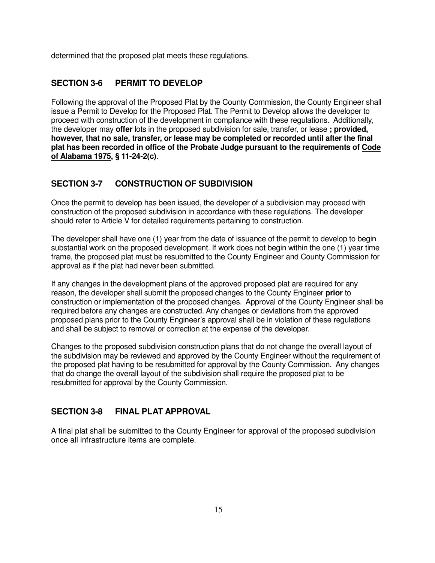determined that the proposed plat meets these regulations.

#### **SECTION 3-6 PERMIT TO DEVELOP**

Following the approval of the Proposed Plat by the County Commission, the County Engineer shall issue a Permit to Develop for the Proposed Plat. The Permit to Develop allows the developer to proceed with construction of the development in compliance with these regulations. Additionally, the developer may **offer** lots in the proposed subdivision for sale, transfer, or lease **; provided, however, that no sale, transfer, or lease may be completed or recorded until after the final plat has been recorded in office of the Probate Judge pursuant to the requirements of Code of Alabama 1975, § 11-24-2(c)**.

#### **SECTION 3-7 CONSTRUCTION OF SUBDIVISION**

Once the permit to develop has been issued, the developer of a subdivision may proceed with construction of the proposed subdivision in accordance with these regulations. The developer should refer to Article V for detailed requirements pertaining to construction.

The developer shall have one (1) year from the date of issuance of the permit to develop to begin substantial work on the proposed development. If work does not begin within the one (1) year time frame, the proposed plat must be resubmitted to the County Engineer and County Commission for approval as if the plat had never been submitted.

If any changes in the development plans of the approved proposed plat are required for any reason, the developer shall submit the proposed changes to the County Engineer **prior** to construction or implementation of the proposed changes. Approval of the County Engineer shall be required before any changes are constructed. Any changes or deviations from the approved proposed plans prior to the County Engineer's approval shall be in violation of these regulations and shall be subject to removal or correction at the expense of the developer.

Changes to the proposed subdivision construction plans that do not change the overall layout of the subdivision may be reviewed and approved by the County Engineer without the requirement of the proposed plat having to be resubmitted for approval by the County Commission. Any changes that do change the overall layout of the subdivision shall require the proposed plat to be resubmitted for approval by the County Commission.

#### **SECTION 3-8 FINAL PLAT APPROVAL**

A final plat shall be submitted to the County Engineer for approval of the proposed subdivision once all infrastructure items are complete.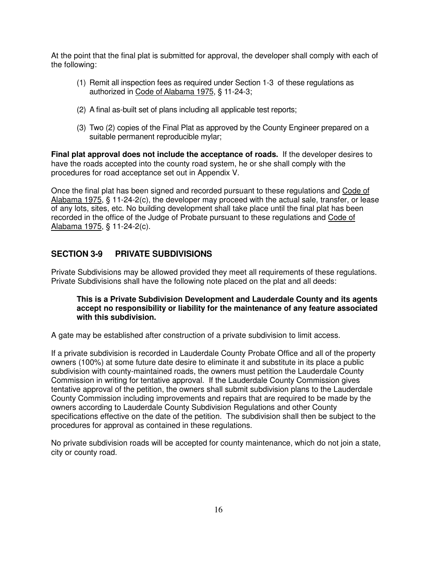At the point that the final plat is submitted for approval, the developer shall comply with each of the following:

- (1) Remit all inspection fees as required under Section 1-3 of these regulations as authorized in Code of Alabama 1975, § 11-24-3;
- (2) A final as-built set of plans including all applicable test reports;
- (3) Two (2) copies of the Final Plat as approved by the County Engineer prepared on a suitable permanent reproducible mylar;

**Final plat approval does not include the acceptance of roads.** If the developer desires to have the roads accepted into the county road system, he or she shall comply with the procedures for road acceptance set out in Appendix V.

Once the final plat has been signed and recorded pursuant to these regulations and Code of Alabama 1975, § 11-24-2(c), the developer may proceed with the actual sale, transfer, or lease of any lots, sites, etc. No building development shall take place until the final plat has been recorded in the office of the Judge of Probate pursuant to these regulations and Code of Alabama 1975, § 11-24-2(c).

#### **SECTION 3-9 PRIVATE SUBDIVISIONS**

Private Subdivisions may be allowed provided they meet all requirements of these regulations. Private Subdivisions shall have the following note placed on the plat and all deeds:

#### **This is a Private Subdivision Development and Lauderdale County and its agents accept no responsibility or liability for the maintenance of any feature associated with this subdivision.**

A gate may be established after construction of a private subdivision to limit access.

If a private subdivision is recorded in Lauderdale County Probate Office and all of the property owners (100%) at some future date desire to eliminate it and substitute in its place a public subdivision with county-maintained roads, the owners must petition the Lauderdale County Commission in writing for tentative approval. If the Lauderdale County Commission gives tentative approval of the petition, the owners shall submit subdivision plans to the Lauderdale County Commission including improvements and repairs that are required to be made by the owners according to Lauderdale County Subdivision Regulations and other County specifications effective on the date of the petition. The subdivision shall then be subject to the procedures for approval as contained in these regulations.

No private subdivision roads will be accepted for county maintenance, which do not join a state, city or county road.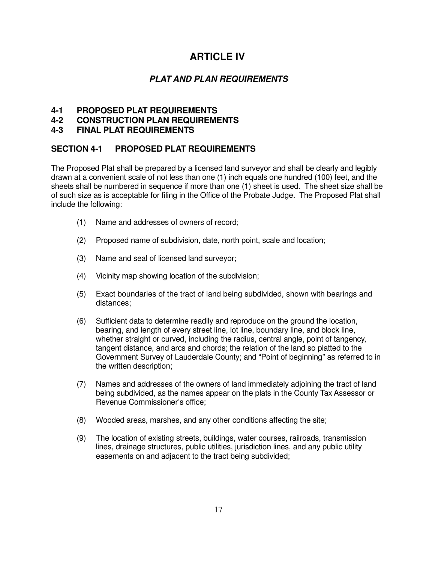## **ARTICLE IV**

#### **PLAT AND PLAN REQUIREMENTS**

#### **4-1 PROPOSED PLAT REQUIREMENTS**

**4-2 CONSTRUCTION PLAN REQUIREMENTS** 

#### **4-3 FINAL PLAT REQUIREMENTS**

#### **SECTION 4-1 PROPOSED PLAT REQUIREMENTS**

The Proposed Plat shall be prepared by a licensed land surveyor and shall be clearly and legibly drawn at a convenient scale of not less than one (1) inch equals one hundred (100) feet, and the sheets shall be numbered in sequence if more than one (1) sheet is used. The sheet size shall be of such size as is acceptable for filing in the Office of the Probate Judge. The Proposed Plat shall include the following:

- (1) Name and addresses of owners of record;
- (2) Proposed name of subdivision, date, north point, scale and location;
- (3) Name and seal of licensed land surveyor;
- (4) Vicinity map showing location of the subdivision;
- (5) Exact boundaries of the tract of land being subdivided, shown with bearings and distances;
- (6) Sufficient data to determine readily and reproduce on the ground the location, bearing, and length of every street line, lot line, boundary line, and block line, whether straight or curved, including the radius, central angle, point of tangency, tangent distance, and arcs and chords; the relation of the land so platted to the Government Survey of Lauderdale County; and "Point of beginning" as referred to in the written description;
- (7) Names and addresses of the owners of land immediately adjoining the tract of land being subdivided, as the names appear on the plats in the County Tax Assessor or Revenue Commissioner's office;
- (8) Wooded areas, marshes, and any other conditions affecting the site;
- (9) The location of existing streets, buildings, water courses, railroads, transmission lines, drainage structures, public utilities, jurisdiction lines, and any public utility easements on and adjacent to the tract being subdivided;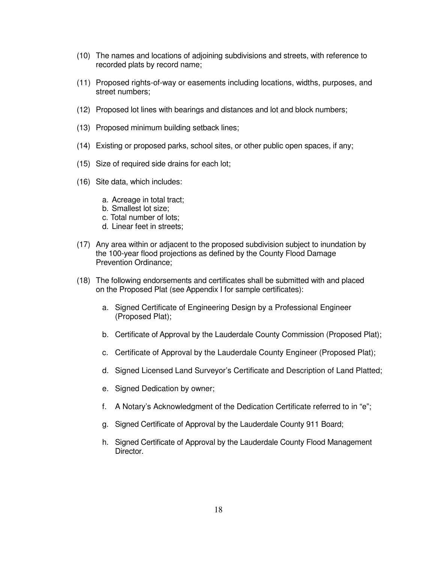- (10) The names and locations of adjoining subdivisions and streets, with reference to recorded plats by record name;
- (11) Proposed rights-of-way or easements including locations, widths, purposes, and street numbers;
- (12) Proposed lot lines with bearings and distances and lot and block numbers;
- (13) Proposed minimum building setback lines;
- (14) Existing or proposed parks, school sites, or other public open spaces, if any;
- (15) Size of required side drains for each lot;
- (16) Site data, which includes:
	- a. Acreage in total tract;
	- b. Smallest lot size;
	- c. Total number of lots;
	- d. Linear feet in streets;
- (17) Any area within or adjacent to the proposed subdivision subject to inundation by the 100-year flood projections as defined by the County Flood Damage Prevention Ordinance;
- (18) The following endorsements and certificates shall be submitted with and placed on the Proposed Plat (see Appendix I for sample certificates):
	- a. Signed Certificate of Engineering Design by a Professional Engineer (Proposed Plat);
	- b. Certificate of Approval by the Lauderdale County Commission (Proposed Plat);
	- c. Certificate of Approval by the Lauderdale County Engineer (Proposed Plat);
	- d. Signed Licensed Land Surveyor's Certificate and Description of Land Platted;
	- e. Signed Dedication by owner;
	- f. A Notary's Acknowledgment of the Dedication Certificate referred to in "e";
	- g. Signed Certificate of Approval by the Lauderdale County 911 Board;
	- h. Signed Certificate of Approval by the Lauderdale County Flood Management Director.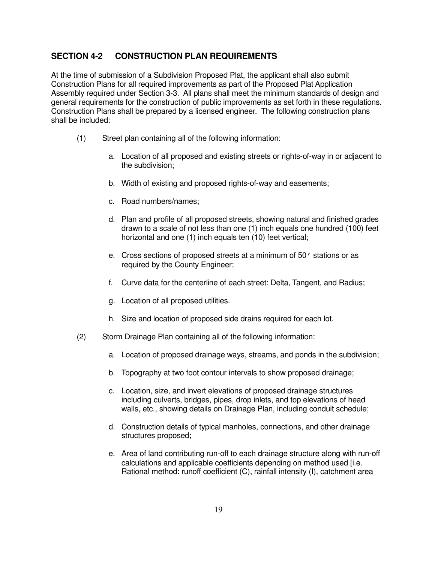#### **SECTION 4-2 CONSTRUCTION PLAN REQUIREMENTS**

At the time of submission of a Subdivision Proposed Plat, the applicant shall also submit Construction Plans for all required improvements as part of the Proposed Plat Application Assembly required under Section 3-3. All plans shall meet the minimum standards of design and general requirements for the construction of public improvements as set forth in these regulations. Construction Plans shall be prepared by a licensed engineer. The following construction plans shall be included:

- (1) Street plan containing all of the following information:
	- a. Location of all proposed and existing streets or rights-of-way in or adjacent to the subdivision;
	- b. Width of existing and proposed rights-of-way and easements;
	- c. Road numbers/names;
	- d. Plan and profile of all proposed streets, showing natural and finished grades drawn to a scale of not less than one (1) inch equals one hundred (100) feet horizontal and one (1) inch equals ten (10) feet vertical;
	- e. Cross sections of proposed streets at a minimum of 50' stations or as required by the County Engineer;
	- f. Curve data for the centerline of each street: Delta, Tangent, and Radius;
	- g. Location of all proposed utilities.
	- h. Size and location of proposed side drains required for each lot.
- (2) Storm Drainage Plan containing all of the following information:
	- a. Location of proposed drainage ways, streams, and ponds in the subdivision;
	- b. Topography at two foot contour intervals to show proposed drainage;
	- c. Location, size, and invert elevations of proposed drainage structures including culverts, bridges, pipes, drop inlets, and top elevations of head walls, etc., showing details on Drainage Plan, including conduit schedule;
	- d. Construction details of typical manholes, connections, and other drainage structures proposed;
	- e. Area of land contributing run-off to each drainage structure along with run-off calculations and applicable coefficients depending on method used [i.e. Rational method: runoff coefficient (C), rainfall intensity (I), catchment area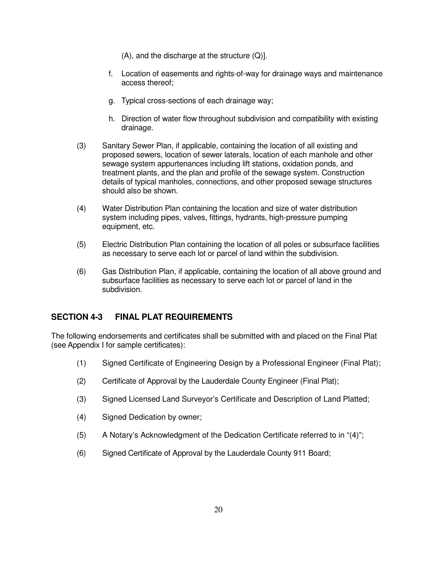(A), and the discharge at the structure (Q)].

- f. Location of easements and rights-of-way for drainage ways and maintenance access thereof;
- g. Typical cross-sections of each drainage way;
- h. Direction of water flow throughout subdivision and compatibility with existing drainage.
- (3) Sanitary Sewer Plan, if applicable, containing the location of all existing and proposed sewers, location of sewer laterals, location of each manhole and other sewage system appurtenances including lift stations, oxidation ponds, and treatment plants, and the plan and profile of the sewage system. Construction details of typical manholes, connections, and other proposed sewage structures should also be shown.
- (4) Water Distribution Plan containing the location and size of water distribution system including pipes, valves, fittings, hydrants, high-pressure pumping equipment, etc.
- (5) Electric Distribution Plan containing the location of all poles or subsurface facilities as necessary to serve each lot or parcel of land within the subdivision.
- (6) Gas Distribution Plan, if applicable, containing the location of all above ground and subsurface facilities as necessary to serve each lot or parcel of land in the subdivision.

#### **SECTION 4-3 FINAL PLAT REQUIREMENTS**

The following endorsements and certificates shall be submitted with and placed on the Final Plat (see Appendix I for sample certificates):

- (1) Signed Certificate of Engineering Design by a Professional Engineer (Final Plat);
- (2) Certificate of Approval by the Lauderdale County Engineer (Final Plat);
- (3) Signed Licensed Land Surveyor's Certificate and Description of Land Platted;
- (4) Signed Dedication by owner;
- (5) A Notary's Acknowledgment of the Dedication Certificate referred to in "(4)";
- (6) Signed Certificate of Approval by the Lauderdale County 911 Board;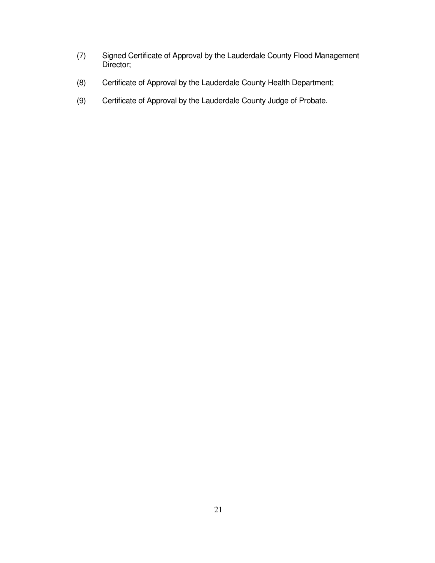- (7) Signed Certificate of Approval by the Lauderdale County Flood Management Director;
- (8) Certificate of Approval by the Lauderdale County Health Department;
- (9) Certificate of Approval by the Lauderdale County Judge of Probate.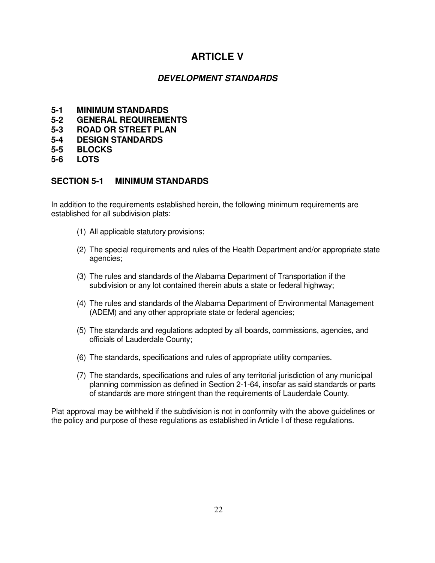## **ARTICLE V**

#### **DEVELOPMENT STANDARDS**

- **5-1 MINIMUM STANDARDS**
- **5-2 GENERAL REQUIREMENTS**
- **5-3 ROAD OR STREET PLAN**
- **5-4 DESIGN STANDARDS**
- **5-5 BLOCKS**
- **5-6 LOTS**

#### **SECTION 5-1 MINIMUM STANDARDS**

In addition to the requirements established herein, the following minimum requirements are established for all subdivision plats:

- (1) All applicable statutory provisions;
- (2) The special requirements and rules of the Health Department and/or appropriate state agencies;
- (3) The rules and standards of the Alabama Department of Transportation if the subdivision or any lot contained therein abuts a state or federal highway;
- (4) The rules and standards of the Alabama Department of Environmental Management (ADEM) and any other appropriate state or federal agencies;
- (5) The standards and regulations adopted by all boards, commissions, agencies, and officials of Lauderdale County;
- (6) The standards, specifications and rules of appropriate utility companies.
- (7) The standards, specifications and rules of any territorial jurisdiction of any municipal planning commission as defined in Section 2-1-64, insofar as said standards or parts of standards are more stringent than the requirements of Lauderdale County.

Plat approval may be withheld if the subdivision is not in conformity with the above guidelines or the policy and purpose of these regulations as established in Article I of these regulations.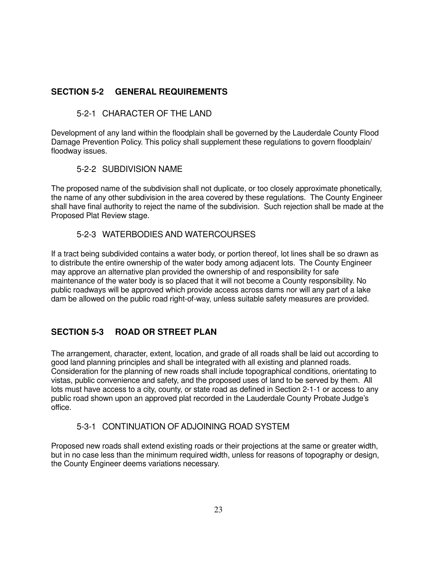#### **SECTION 5-2 GENERAL REQUIREMENTS**

#### 5-2-1 CHARACTER OF THE LAND

Development of any land within the floodplain shall be governed by the Lauderdale County Flood Damage Prevention Policy. This policy shall supplement these regulations to govern floodplain/ floodway issues.

#### 5-2-2 SUBDIVISION NAME

The proposed name of the subdivision shall not duplicate, or too closely approximate phonetically, the name of any other subdivision in the area covered by these regulations. The County Engineer shall have final authority to reject the name of the subdivision. Such rejection shall be made at the Proposed Plat Review stage.

#### 5-2-3 WATERBODIES AND WATERCOURSES

If a tract being subdivided contains a water body, or portion thereof, lot lines shall be so drawn as to distribute the entire ownership of the water body among adjacent lots. The County Engineer may approve an alternative plan provided the ownership of and responsibility for safe maintenance of the water body is so placed that it will not become a County responsibility. No public roadways will be approved which provide access across dams nor will any part of a lake dam be allowed on the public road right-of-way, unless suitable safety measures are provided.

### **SECTION 5-3 ROAD OR STREET PLAN**

The arrangement, character, extent, location, and grade of all roads shall be laid out according to good land planning principles and shall be integrated with all existing and planned roads. Consideration for the planning of new roads shall include topographical conditions, orientating to vistas, public convenience and safety, and the proposed uses of land to be served by them. All lots must have access to a city, county, or state road as defined in Section 2-1-1 or access to any public road shown upon an approved plat recorded in the Lauderdale County Probate Judge's office.

#### 5-3-1 CONTINUATION OF ADJOINING ROAD SYSTEM

Proposed new roads shall extend existing roads or their projections at the same or greater width, but in no case less than the minimum required width, unless for reasons of topography or design, the County Engineer deems variations necessary.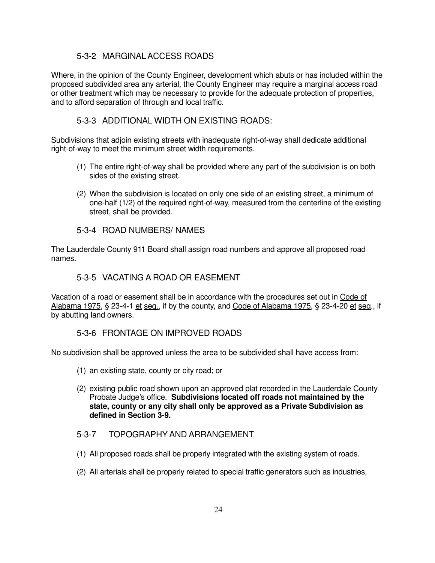#### 5-3-2 MARGINAL ACCESS ROADS

Where, in the opinion of the County Engineer, development which abuts or has included within the proposed subdivided area any arterial, the County Engineer may require a marginal access road or other treatment which may be necessary to provide for the adequate protection of properties, and to afford separation of through and local traffic.

#### 5-3-3 ADDITIONAL WIDTH ON EXISTING ROADS:

Subdivisions that adjoin existing streets with inadequate right-of-way shall dedicate additional right-of-way to meet the minimum street width requirements.

- (1) The entire right-of-way shall be provided where any part of the subdivision is on both sides of the existing street.
- (2) When the subdivision is located on only one side of an existing street, a minimum of one-half (1/2) of the required right-of-way, measured from the centerline of the existing street, shall be provided.

#### 5-3-4 ROAD NUMBERS/ NAMES

The Lauderdale County 911 Board shall assign road numbers and approve all proposed road names.

#### 5-3-5 VACATING A ROAD OR EASEMENT

Vacation of a road or easement shall be in accordance with the procedures set out in Code of Alabama 1975, § 23-4-1 et seq., if by the county, and Code of Alabama 1975, § 23-4-20 et seq., if by abutting land owners.

#### 5-3-6 FRONTAGE ON IMPROVED ROADS

No subdivision shall be approved unless the area to be subdivided shall have access from:

- (1) an existing state, county or city road; or
- (2) existing public road shown upon an approved plat recorded in the Lauderdale County Probate Judge's office. **Subdivisions located off roads not maintained by the state, county or any city shall only be approved as a Private Subdivision as defined in Section 3-9.**

#### 5-3-7 TOPOGRAPHY AND ARRANGEMENT

- (1) All proposed roads shall be properly integrated with the existing system of roads.
- (2) All arterials shall be properly related to special traffic generators such as industries,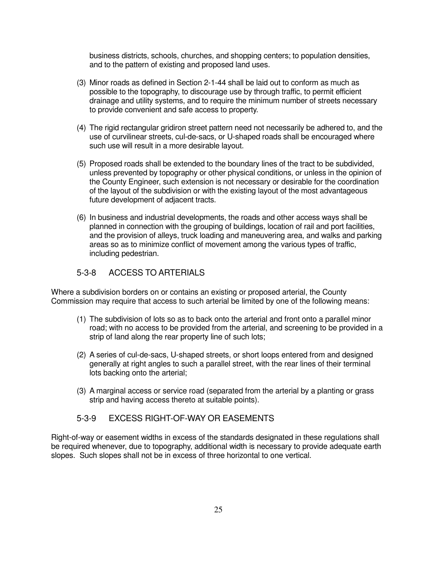business districts, schools, churches, and shopping centers; to population densities, and to the pattern of existing and proposed land uses.

- (3) Minor roads as defined in Section 2-1-44 shall be laid out to conform as much as possible to the topography, to discourage use by through traffic, to permit efficient drainage and utility systems, and to require the minimum number of streets necessary to provide convenient and safe access to property.
- (4) The rigid rectangular gridiron street pattern need not necessarily be adhered to, and the use of curvilinear streets, cul-de-sacs, or U-shaped roads shall be encouraged where such use will result in a more desirable layout.
- (5) Proposed roads shall be extended to the boundary lines of the tract to be subdivided, unless prevented by topography or other physical conditions, or unless in the opinion of the County Engineer, such extension is not necessary or desirable for the coordination of the layout of the subdivision or with the existing layout of the most advantageous future development of adjacent tracts.
- (6) In business and industrial developments, the roads and other access ways shall be planned in connection with the grouping of buildings, location of rail and port facilities, and the provision of alleys, truck loading and maneuvering area, and walks and parking areas so as to minimize conflict of movement among the various types of traffic, including pedestrian.

#### 5-3-8 ACCESS TO ARTERIALS

Where a subdivision borders on or contains an existing or proposed arterial, the County Commission may require that access to such arterial be limited by one of the following means:

- (1) The subdivision of lots so as to back onto the arterial and front onto a parallel minor road; with no access to be provided from the arterial, and screening to be provided in a strip of land along the rear property line of such lots;
- (2) A series of cul-de-sacs, U-shaped streets, or short loops entered from and designed generally at right angles to such a parallel street, with the rear lines of their terminal lots backing onto the arterial;
- (3) A marginal access or service road (separated from the arterial by a planting or grass strip and having access thereto at suitable points).

#### 5-3-9 EXCESS RIGHT-OF-WAY OR EASEMENTS

Right-of-way or easement widths in excess of the standards designated in these regulations shall be required whenever, due to topography, additional width is necessary to provide adequate earth slopes. Such slopes shall not be in excess of three horizontal to one vertical.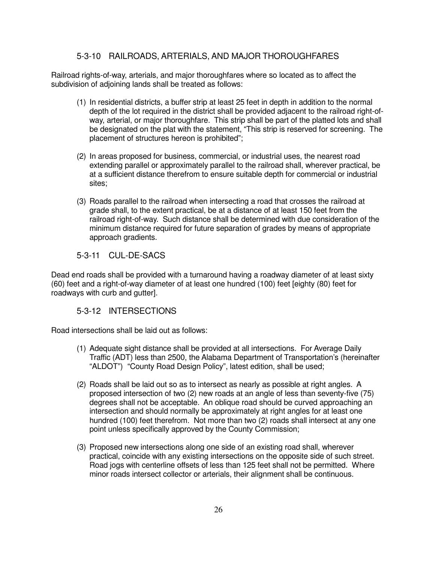#### 5-3-10 RAILROADS, ARTERIALS, AND MAJOR THOROUGHFARES

Railroad rights-of-way, arterials, and major thoroughfares where so located as to affect the subdivision of adjoining lands shall be treated as follows:

- (1) In residential districts, a buffer strip at least 25 feet in depth in addition to the normal depth of the lot required in the district shall be provided adjacent to the railroad right-ofway, arterial, or major thoroughfare. This strip shall be part of the platted lots and shall be designated on the plat with the statement, "This strip is reserved for screening. The placement of structures hereon is prohibited";
- (2) In areas proposed for business, commercial, or industrial uses, the nearest road extending parallel or approximately parallel to the railroad shall, wherever practical, be at a sufficient distance therefrom to ensure suitable depth for commercial or industrial sites;
- (3) Roads parallel to the railroad when intersecting a road that crosses the railroad at grade shall, to the extent practical, be at a distance of at least 150 feet from the railroad right-of-way. Such distance shall be determined with due consideration of the minimum distance required for future separation of grades by means of appropriate approach gradients.

#### 5-3-11 CUL-DE-SACS

Dead end roads shall be provided with a turnaround having a roadway diameter of at least sixty (60) feet and a right-of-way diameter of at least one hundred (100) feet [eighty (80) feet for roadways with curb and gutter].

#### 5-3-12 INTERSECTIONS

Road intersections shall be laid out as follows:

- (1) Adequate sight distance shall be provided at all intersections. For Average Daily Traffic (ADT) less than 2500, the Alabama Department of Transportation's (hereinafter "ALDOT") "County Road Design Policy", latest edition, shall be used;
- (2) Roads shall be laid out so as to intersect as nearly as possible at right angles. A proposed intersection of two (2) new roads at an angle of less than seventy-five (75) degrees shall not be acceptable. An oblique road should be curved approaching an intersection and should normally be approximately at right angles for at least one hundred (100) feet therefrom. Not more than two (2) roads shall intersect at any one point unless specifically approved by the County Commission;
- (3) Proposed new intersections along one side of an existing road shall, wherever practical, coincide with any existing intersections on the opposite side of such street. Road jogs with centerline offsets of less than 125 feet shall not be permitted. Where minor roads intersect collector or arterials, their alignment shall be continuous.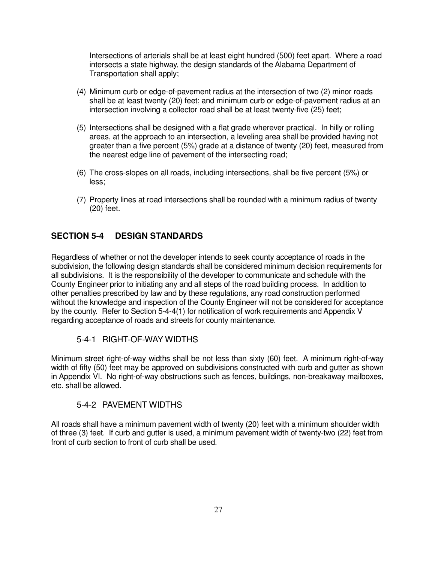Intersections of arterials shall be at least eight hundred (500) feet apart. Where a road intersects a state highway, the design standards of the Alabama Department of Transportation shall apply;

- (4) Minimum curb or edge-of-pavement radius at the intersection of two (2) minor roads shall be at least twenty (20) feet; and minimum curb or edge-of-pavement radius at an intersection involving a collector road shall be at least twenty-five (25) feet;
- (5) Intersections shall be designed with a flat grade wherever practical. In hilly or rolling areas, at the approach to an intersection, a leveling area shall be provided having not greater than a five percent (5%) grade at a distance of twenty (20) feet, measured from the nearest edge line of pavement of the intersecting road;
- (6) The cross-slopes on all roads, including intersections, shall be five percent (5%) or less;
- (7) Property lines at road intersections shall be rounded with a minimum radius of twenty (20) feet.

#### **SECTION 5-4 DESIGN STANDARDS**

Regardless of whether or not the developer intends to seek county acceptance of roads in the subdivision, the following design standards shall be considered minimum decision requirements for all subdivisions. It is the responsibility of the developer to communicate and schedule with the County Engineer prior to initiating any and all steps of the road building process. In addition to other penalties prescribed by law and by these regulations, any road construction performed without the knowledge and inspection of the County Engineer will not be considered for acceptance by the county. Refer to Section 5-4-4(1) for notification of work requirements and Appendix V regarding acceptance of roads and streets for county maintenance.

#### 5-4-1 RIGHT-OF-WAY WIDTHS

Minimum street right-of-way widths shall be not less than sixty (60) feet. A minimum right-of-way width of fifty (50) feet may be approved on subdivisions constructed with curb and gutter as shown in Appendix VI. No right-of-way obstructions such as fences, buildings, non-breakaway mailboxes, etc. shall be allowed.

#### 5-4-2 PAVEMENT WIDTHS

All roads shall have a minimum pavement width of twenty (20) feet with a minimum shoulder width of three (3) feet. If curb and gutter is used, a minimum pavement width of twenty-two (22) feet from front of curb section to front of curb shall be used.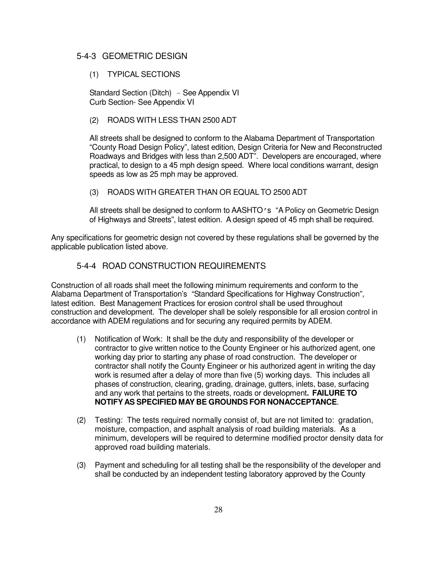#### 5-4-3 GEOMETRIC DESIGN

#### (1) TYPICAL SECTIONS

Standard Section (Ditch) - See Appendix VI Curb Section- See Appendix VI

#### (2) ROADS WITH LESS THAN 2500 ADT

 All streets shall be designed to conform to the Alabama Department of Transportation "County Road Design Policy", latest edition, Design Criteria for New and Reconstructed Roadways and Bridges with less than 2,500 ADT". Developers are encouraged, where practical, to design to a 45 mph design speed. Where local conditions warrant, design speeds as low as 25 mph may be approved.

#### (3) ROADS WITH GREATER THAN OR EQUAL TO 2500 ADT

 All streets shall be designed to conform to AASHTO's "A Policy on Geometric Design of Highways and Streets", latest edition. A design speed of 45 mph shall be required.

Any specifications for geometric design not covered by these regulations shall be governed by the applicable publication listed above.

#### 5-4-4 ROAD CONSTRUCTION REQUIREMENTS

Construction of all roads shall meet the following minimum requirements and conform to the Alabama Department of Transportation's "Standard Specifications for Highway Construction", latest edition. Best Management Practices for erosion control shall be used throughout construction and development. The developer shall be solely responsible for all erosion control in accordance with ADEM regulations and for securing any required permits by ADEM.

- (1) Notification of Work: It shall be the duty and responsibility of the developer or contractor to give written notice to the County Engineer or his authorized agent, one working day prior to starting any phase of road construction. The developer or contractor shall notify the County Engineer or his authorized agent in writing the day work is resumed after a delay of more than five (5) working days. This includes all phases of construction, clearing, grading, drainage, gutters, inlets, base, surfacing and any work that pertains to the streets, roads or development**. FAILURE TO NOTIFY AS SPECIFIED MAY BE GROUNDS FOR NONACCEPTANCE**.
- (2) Testing: The tests required normally consist of, but are not limited to: gradation, moisture, compaction, and asphalt analysis of road building materials. As a minimum, developers will be required to determine modified proctor density data for approved road building materials.
- (3) Payment and scheduling for all testing shall be the responsibility of the developer and shall be conducted by an independent testing laboratory approved by the County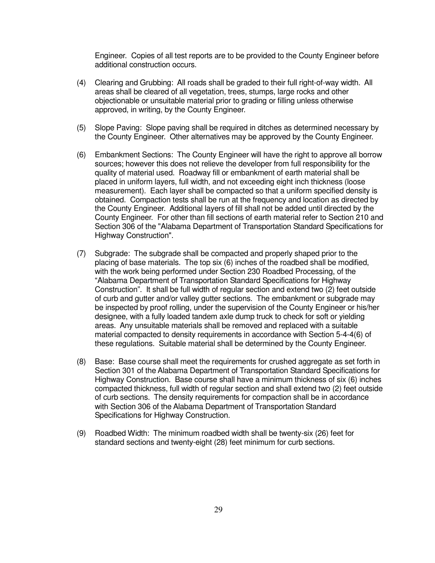Engineer. Copies of all test reports are to be provided to the County Engineer before additional construction occurs.

- (4) Clearing and Grubbing: All roads shall be graded to their full right-of-way width. All areas shall be cleared of all vegetation, trees, stumps, large rocks and other objectionable or unsuitable material prior to grading or filling unless otherwise approved, in writing, by the County Engineer.
- (5) Slope Paving: Slope paving shall be required in ditches as determined necessary by the County Engineer. Other alternatives may be approved by the County Engineer.
- (6) Embankment Sections: The County Engineer will have the right to approve all borrow sources; however this does not relieve the developer from full responsibility for the quality of material used. Roadway fill or embankment of earth material shall be placed in uniform layers, full width, and not exceeding eight inch thickness (loose measurement). Each layer shall be compacted so that a uniform specified density is obtained. Compaction tests shall be run at the frequency and location as directed by the County Engineer. Additional layers of fill shall not be added until directed by the County Engineer. For other than fill sections of earth material refer to Section 210 and Section 306 of the "Alabama Department of Transportation Standard Specifications for Highway Construction".
- (7) Subgrade: The subgrade shall be compacted and properly shaped prior to the placing of base materials. The top six (6) inches of the roadbed shall be modified, with the work being performed under Section 230 Roadbed Processing, of the "Alabama Department of Transportation Standard Specifications for Highway Construction". It shall be full width of regular section and extend two (2) feet outside of curb and gutter and/or valley gutter sections. The embankment or subgrade may be inspected by proof rolling, under the supervision of the County Engineer or his/her designee, with a fully loaded tandem axle dump truck to check for soft or yielding areas. Any unsuitable materials shall be removed and replaced with a suitable material compacted to density requirements in accordance with Section 5-4-4(6) of these regulations. Suitable material shall be determined by the County Engineer.
- (8) Base: Base course shall meet the requirements for crushed aggregate as set forth in Section 301 of the Alabama Department of Transportation Standard Specifications for Highway Construction. Base course shall have a minimum thickness of six (6) inches compacted thickness, full width of regular section and shall extend two (2) feet outside of curb sections. The density requirements for compaction shall be in accordance with Section 306 of the Alabama Department of Transportation Standard Specifications for Highway Construction.
- (9) Roadbed Width: The minimum roadbed width shall be twenty-six (26) feet for standard sections and twenty-eight (28) feet minimum for curb sections.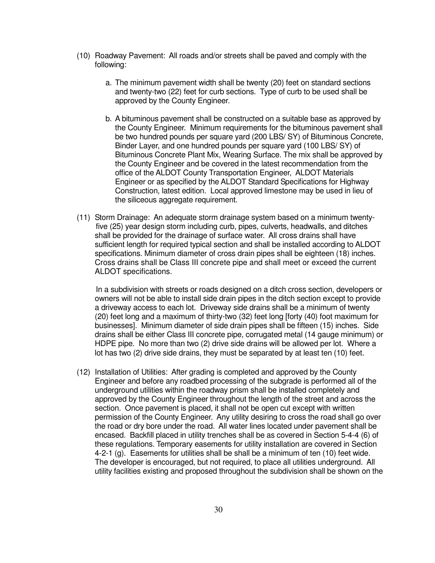- (10) Roadway Pavement: All roads and/or streets shall be paved and comply with the following:
	- a. The minimum pavement width shall be twenty (20) feet on standard sections and twenty-two (22) feet for curb sections. Type of curb to be used shall be approved by the County Engineer.
	- b. A bituminous pavement shall be constructed on a suitable base as approved by the County Engineer. Minimum requirements for the bituminous pavement shall be two hundred pounds per square yard (200 LBS/ SY) of Bituminous Concrete, Binder Layer, and one hundred pounds per square yard (100 LBS/ SY) of Bituminous Concrete Plant Mix, Wearing Surface. The mix shall be approved by the County Engineer and be covered in the latest recommendation from the office of the ALDOT County Transportation Engineer, ALDOT Materials Engineer or as specified by the ALDOT Standard Specifications for Highway Construction, latest edition. Local approved limestone may be used in lieu of the siliceous aggregate requirement.
- (11) Storm Drainage: An adequate storm drainage system based on a minimum twenty five (25) year design storm including curb, pipes, culverts, headwalls, and ditches shall be provided for the drainage of surface water. All cross drains shall have sufficient length for required typical section and shall be installed according to ALDOT specifications. Minimum diameter of cross drain pipes shall be eighteen (18) inches. Cross drains shall be Class III concrete pipe and shall meet or exceed the current ALDOT specifications.

 In a subdivision with streets or roads designed on a ditch cross section, developers or owners will not be able to install side drain pipes in the ditch section except to provide a driveway access to each lot. Driveway side drains shall be a minimum of twenty (20) feet long and a maximum of thirty-two (32) feet long [forty (40) foot maximum for businesses]. Minimum diameter of side drain pipes shall be fifteen (15) inches. Side drains shall be either Class III concrete pipe, corrugated metal (14 gauge minimum) or HDPE pipe. No more than two (2) drive side drains will be allowed per lot. Where a lot has two (2) drive side drains, they must be separated by at least ten (10) feet.

(12) Installation of Utilities: After grading is completed and approved by the County Engineer and before any roadbed processing of the subgrade is performed all of the underground utilities within the roadway prism shall be installed completely and approved by the County Engineer throughout the length of the street and across the section. Once pavement is placed, it shall not be open cut except with written permission of the County Engineer. Any utility desiring to cross the road shall go over the road or dry bore under the road. All water lines located under pavement shall be encased. Backfill placed in utility trenches shall be as covered in Section 5-4-4 (6) of these regulations. Temporary easements for utility installation are covered in Section 4-2-1 (g). Easements for utilities shall be shall be a minimum of ten (10) feet wide. The developer is encouraged, but not required, to place all utilities underground. All utility facilities existing and proposed throughout the subdivision shall be shown on the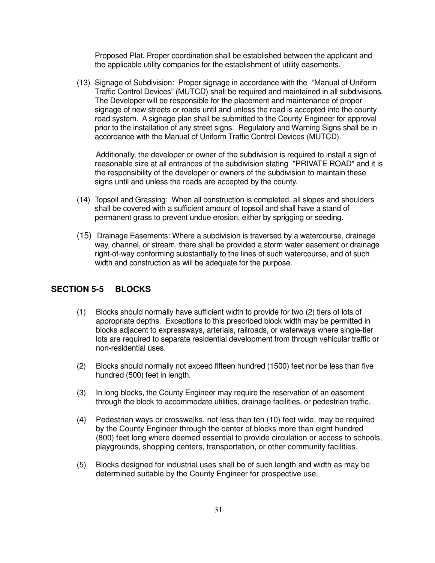Proposed Plat. Proper coordination shall be established between the applicant and the applicable utility companies for the establishment of utility easements.

(13) Signage of Subdivision: Proper signage in accordance with the "Manual of Uniform Traffic Control Devices" (MUTCD) shall be required and maintained in all subdivisions. The Developer will be responsible for the placement and maintenance of proper signage of new streets or roads until and unless the road is accepted into the county road system. A signage plan shall be submitted to the County Engineer for approval prior to the installation of any street signs. Regulatory and Warning Signs shall be in accordance with the Manual of Uniform Traffic Control Devices (MUTCD).

 Additionally, the developer or owner of the subdivision is required to install a sign of reasonable size at all entrances of the subdivision stating "PRIVATE ROAD" and it is the responsibility of the developer or owners of the subdivision to maintain these signs until and unless the roads are accepted by the county.

- (14) Topsoil and Grassing: When all construction is completed, all slopes and shoulders shall be covered with a sufficient amount of topsoil and shall have a stand of permanent grass to prevent undue erosion, either by sprigging or seeding.
- (15) Drainage Easements: Where a subdivision is traversed by a watercourse, drainage way, channel, or stream, there shall be provided a storm water easement or drainage right-of-way conforming substantially to the lines of such watercourse, and of such width and construction as will be adequate for the purpose.

#### **SECTION 5-5 BLOCKS**

- (1) Blocks should normally have sufficient width to provide for two (2) tiers of lots of appropriate depths. Exceptions to this prescribed block width may be permitted in blocks adjacent to expressways, arterials, railroads, or waterways where single-tier lots are required to separate residential development from through vehicular traffic or non-residential uses.
- (2) Blocks should normally not exceed fifteen hundred (1500) feet nor be less than five hundred (500) feet in length.
- (3) In long blocks, the County Engineer may require the reservation of an easement through the block to accommodate utilities, drainage facilities, or pedestrian traffic.
- (4) Pedestrian ways or crosswalks, not less than ten (10) feet wide, may be required by the County Engineer through the center of blocks more than eight hundred (800) feet long where deemed essential to provide circulation or access to schools, playgrounds, shopping centers, transportation, or other community facilities.
- (5) Blocks designed for industrial uses shall be of such length and width as may be determined suitable by the County Engineer for prospective use.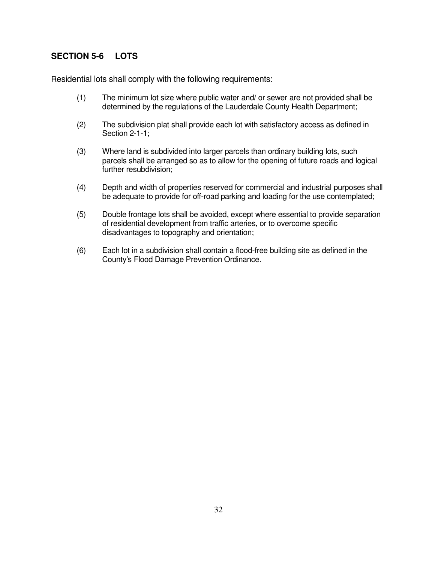#### **SECTION 5-6 LOTS**

Residential lots shall comply with the following requirements:

- (1) The minimum lot size where public water and/ or sewer are not provided shall be determined by the regulations of the Lauderdale County Health Department;
- (2) The subdivision plat shall provide each lot with satisfactory access as defined in Section 2-1-1;
- (3) Where land is subdivided into larger parcels than ordinary building lots, such parcels shall be arranged so as to allow for the opening of future roads and logical further resubdivision;
- (4) Depth and width of properties reserved for commercial and industrial purposes shall be adequate to provide for off-road parking and loading for the use contemplated;
- (5) Double frontage lots shall be avoided, except where essential to provide separation of residential development from traffic arteries, or to overcome specific disadvantages to topography and orientation;
- (6) Each lot in a subdivision shall contain a flood-free building site as defined in the County's Flood Damage Prevention Ordinance.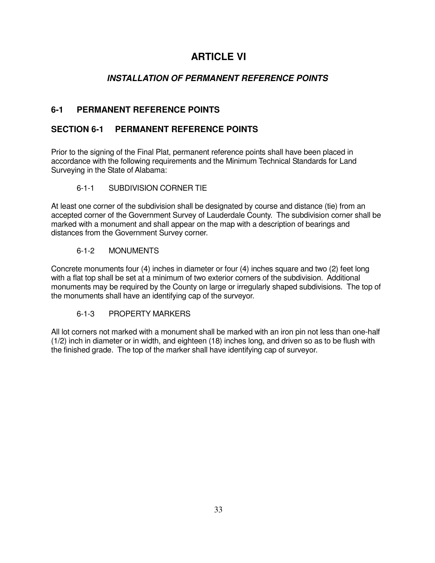## **ARTICLE VI**

#### **INSTALLATION OF PERMANENT REFERENCE POINTS**

#### **6-1 PERMANENT REFERENCE POINTS**

#### **SECTION 6-1 PERMANENT REFERENCE POINTS**

Prior to the signing of the Final Plat, permanent reference points shall have been placed in accordance with the following requirements and the Minimum Technical Standards for Land Surveying in the State of Alabama:

#### 6-1-1 SUBDIVISION CORNER TIE

At least one corner of the subdivision shall be designated by course and distance (tie) from an accepted corner of the Government Survey of Lauderdale County. The subdivision corner shall be marked with a monument and shall appear on the map with a description of bearings and distances from the Government Survey corner.

#### 6-1-2 MONUMENTS

Concrete monuments four (4) inches in diameter or four (4) inches square and two (2) feet long with a flat top shall be set at a minimum of two exterior corners of the subdivision. Additional monuments may be required by the County on large or irregularly shaped subdivisions. The top of the monuments shall have an identifying cap of the surveyor.

#### 6-1-3 PROPERTY MARKERS

All lot corners not marked with a monument shall be marked with an iron pin not less than one-half (1/2) inch in diameter or in width, and eighteen (18) inches long, and driven so as to be flush with the finished grade. The top of the marker shall have identifying cap of surveyor.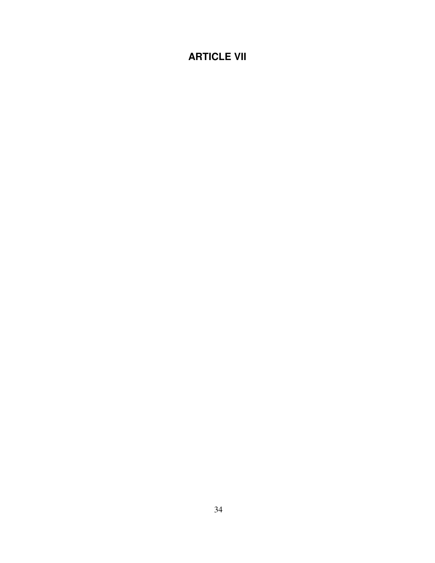## **ARTICLE VII**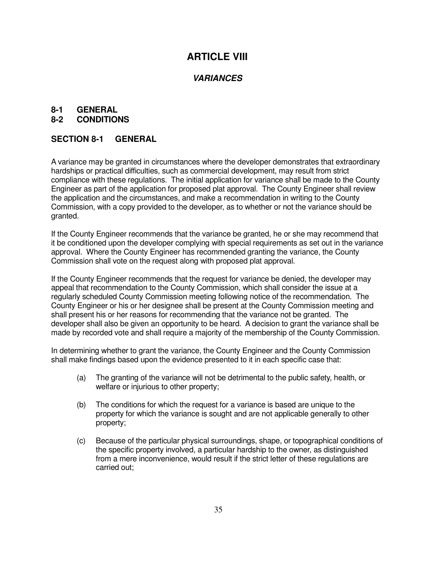## **ARTICLE VIII**

#### **VARIANCES**

#### **8-1 GENERAL**

#### **8-2 CONDITIONS**

#### **SECTION 8-1 GENERAL**

A variance may be granted in circumstances where the developer demonstrates that extraordinary hardships or practical difficulties, such as commercial development, may result from strict compliance with these regulations. The initial application for variance shall be made to the County Engineer as part of the application for proposed plat approval. The County Engineer shall review the application and the circumstances, and make a recommendation in writing to the County Commission, with a copy provided to the developer, as to whether or not the variance should be granted.

If the County Engineer recommends that the variance be granted, he or she may recommend that it be conditioned upon the developer complying with special requirements as set out in the variance approval. Where the County Engineer has recommended granting the variance, the County Commission shall vote on the request along with proposed plat approval.

If the County Engineer recommends that the request for variance be denied, the developer may appeal that recommendation to the County Commission, which shall consider the issue at a regularly scheduled County Commission meeting following notice of the recommendation. The County Engineer or his or her designee shall be present at the County Commission meeting and shall present his or her reasons for recommending that the variance not be granted. The developer shall also be given an opportunity to be heard. A decision to grant the variance shall be made by recorded vote and shall require a majority of the membership of the County Commission.

In determining whether to grant the variance, the County Engineer and the County Commission shall make findings based upon the evidence presented to it in each specific case that:

- (a) The granting of the variance will not be detrimental to the public safety, health, or welfare or injurious to other property;
- (b) The conditions for which the request for a variance is based are unique to the property for which the variance is sought and are not applicable generally to other property;
- (c) Because of the particular physical surroundings, shape, or topographical conditions of the specific property involved, a particular hardship to the owner, as distinguished from a mere inconvenience, would result if the strict letter of these regulations are carried out;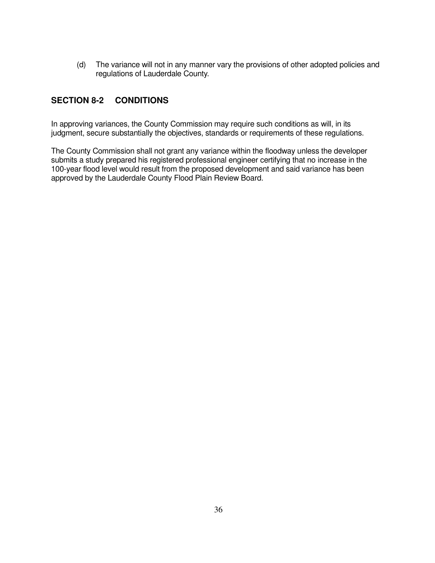(d) The variance will not in any manner vary the provisions of other adopted policies and regulations of Lauderdale County.

#### **SECTION 8-2 CONDITIONS**

In approving variances, the County Commission may require such conditions as will, in its judgment, secure substantially the objectives, standards or requirements of these regulations.

The County Commission shall not grant any variance within the floodway unless the developer submits a study prepared his registered professional engineer certifying that no increase in the 100-year flood level would result from the proposed development and said variance has been approved by the Lauderdale County Flood Plain Review Board.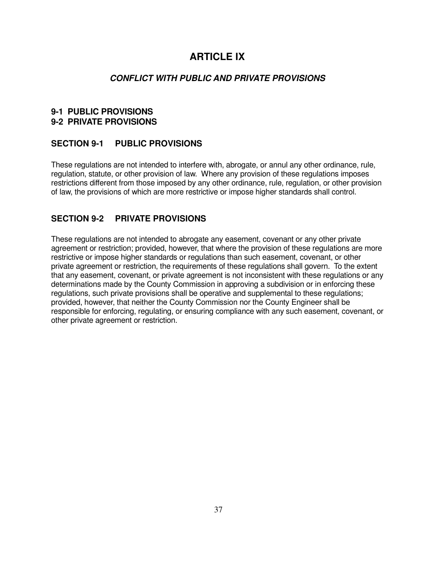## **ARTICLE IX**

#### **CONFLICT WITH PUBLIC AND PRIVATE PROVISIONS**

#### **9-1 PUBLIC PROVISIONS 9-2 PRIVATE PROVISIONS**

#### **SECTION 9-1 PUBLIC PROVISIONS**

These regulations are not intended to interfere with, abrogate, or annul any other ordinance, rule, regulation, statute, or other provision of law. Where any provision of these regulations imposes restrictions different from those imposed by any other ordinance, rule, regulation, or other provision of law, the provisions of which are more restrictive or impose higher standards shall control.

#### **SECTION 9-2 PRIVATE PROVISIONS**

These regulations are not intended to abrogate any easement, covenant or any other private agreement or restriction; provided, however, that where the provision of these regulations are more restrictive or impose higher standards or regulations than such easement, covenant, or other private agreement or restriction, the requirements of these regulations shall govern. To the extent that any easement, covenant, or private agreement is not inconsistent with these regulations or any determinations made by the County Commission in approving a subdivision or in enforcing these regulations, such private provisions shall be operative and supplemental to these regulations; provided, however, that neither the County Commission nor the County Engineer shall be responsible for enforcing, regulating, or ensuring compliance with any such easement, covenant, or other private agreement or restriction.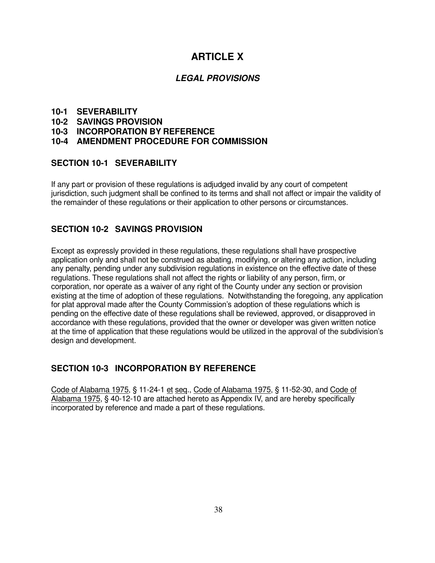## **ARTICLE X**

#### **LEGAL PROVISIONS**

#### **10-1 SEVERABILITY**

- **10-2 SAVINGS PROVISION**
- **10-3 INCORPORATION BY REFERENCE**

#### **10-4 AMENDMENT PROCEDURE FOR COMMISSION**

#### **SECTION 10-1 SEVERABILITY**

If any part or provision of these regulations is adjudged invalid by any court of competent jurisdiction, such judgment shall be confined to its terms and shall not affect or impair the validity of the remainder of these regulations or their application to other persons or circumstances.

#### **SECTION 10-2 SAVINGS PROVISION**

Except as expressly provided in these regulations, these regulations shall have prospective application only and shall not be construed as abating, modifying, or altering any action, including any penalty, pending under any subdivision regulations in existence on the effective date of these regulations. These regulations shall not affect the rights or liability of any person, firm, or corporation, nor operate as a waiver of any right of the County under any section or provision existing at the time of adoption of these regulations. Notwithstanding the foregoing, any application for plat approval made after the County Commission's adoption of these regulations which is pending on the effective date of these regulations shall be reviewed, approved, or disapproved in accordance with these regulations, provided that the owner or developer was given written notice at the time of application that these regulations would be utilized in the approval of the subdivision's design and development.

#### **SECTION 10-3 INCORPORATION BY REFERENCE**

Code of Alabama 1975, § 11-24-1 et seq., Code of Alabama 1975, § 11-52-30, and Code of Alabama 1975, § 40-12-10 are attached hereto as Appendix IV, and are hereby specifically incorporated by reference and made a part of these regulations.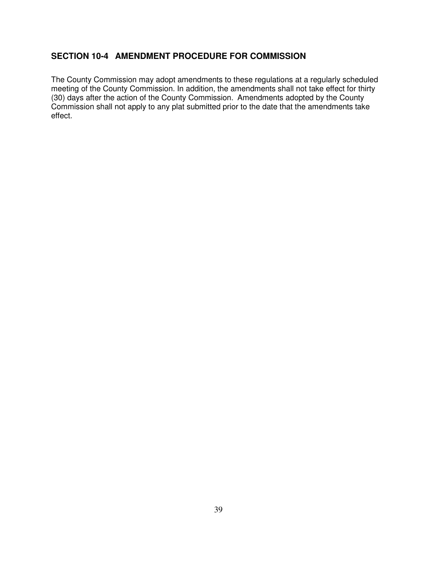#### **SECTION 10-4 AMENDMENT PROCEDURE FOR COMMISSION**

The County Commission may adopt amendments to these regulations at a regularly scheduled meeting of the County Commission. In addition, the amendments shall not take effect for thirty (30) days after the action of the County Commission. Amendments adopted by the County Commission shall not apply to any plat submitted prior to the date that the amendments take effect.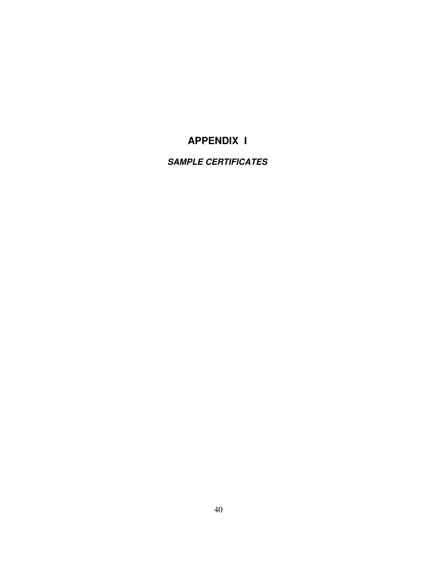## **APPENDIX I**

## **SAMPLE CERTIFICATES**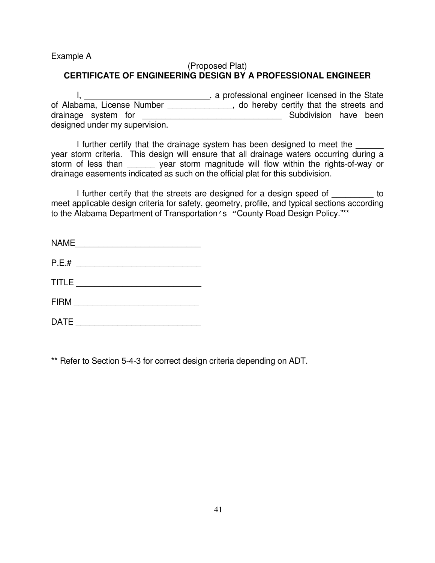Example A

#### (Proposed Plat) **CERTIFICATE OF ENGINEERING DESIGN BY A PROFESSIONAL ENGINEER**

I, \_\_\_\_\_\_\_\_\_\_\_\_\_\_\_\_\_\_\_\_\_\_\_\_\_\_\_\_, a professional engineer licensed in the State of Alabama, License Number \_\_\_\_\_\_\_\_\_\_\_\_\_\_, do hereby certify that the streets and drainage system for \_\_\_\_\_\_\_\_\_\_\_\_\_\_\_\_\_\_\_\_\_\_\_\_\_\_\_\_\_\_ Subdivision have been designed under my supervision.

I further certify that the drainage system has been designed to meet the year storm criteria. This design will ensure that all drainage waters occurring during a storm of less than year storm magnitude will flow within the rights-of-way or drainage easements indicated as such on the official plat for this subdivision.

I further certify that the streets are designed for a design speed of the sto meet applicable design criteria for safety, geometry, profile, and typical sections according to the Alabama Department of Transportation's "County Road Design Policy."\*\*

| <b>NAME</b>  |  |
|--------------|--|
| P.E.#        |  |
| <b>TITLE</b> |  |
| <b>FIRM</b>  |  |
| <b>DATE</b>  |  |

\*\* Refer to Section 5-4-3 for correct design criteria depending on ADT.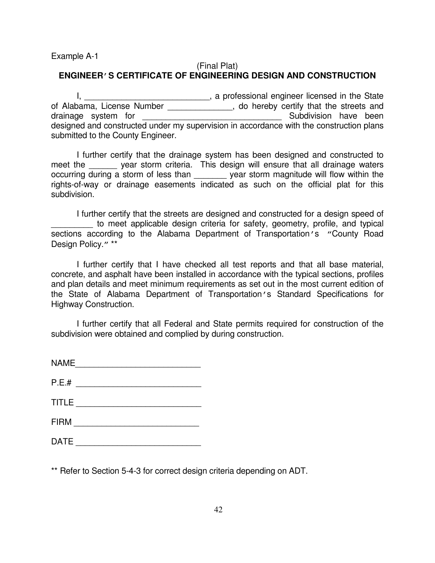Example A-1

#### (Final Plat) **ENGINEER'S CERTIFICATE OF ENGINEERING DESIGN AND CONSTRUCTION**

I, \_\_\_\_\_\_\_\_\_\_\_\_\_\_\_\_\_\_\_\_\_\_\_\_\_\_\_\_, a professional engineer licensed in the State of Alabama, License Number \_\_\_\_\_\_\_\_\_\_\_\_\_\_, do hereby certify that the streets and drainage system for \_\_\_\_\_\_\_\_\_\_\_\_\_\_\_\_\_\_\_\_\_\_\_\_\_\_\_\_\_\_ Subdivision have been designed and constructed under my supervision in accordance with the construction plans submitted to the County Engineer.

 I further certify that the drainage system has been designed and constructed to meet the <u>same year storm criteria</u>. This design will ensure that all drainage waters occurring during a storm of less than \_\_\_\_\_\_\_\_ year storm magnitude will flow within the rights-of-way or drainage easements indicated as such on the official plat for this subdivision.

 I further certify that the streets are designed and constructed for a design speed of to meet applicable design criteria for safety, geometry, profile, and typical sections according to the Alabama Department of Transportation's "County Road Design Policy." \*\*

 I further certify that I have checked all test reports and that all base material, concrete, and asphalt have been installed in accordance with the typical sections, profiles and plan details and meet minimum requirements as set out in the most current edition of the State of Alabama Department of Transportation's Standard Specifications for Highway Construction.

 I further certify that all Federal and State permits required for construction of the subdivision were obtained and complied by during construction.

| <b>NAME</b>  |  |  |
|--------------|--|--|
| P.E.#        |  |  |
| <b>TITLE</b> |  |  |
| <b>FIRM</b>  |  |  |
| <b>DATE</b>  |  |  |

\*\* Refer to Section 5-4-3 for correct design criteria depending on ADT.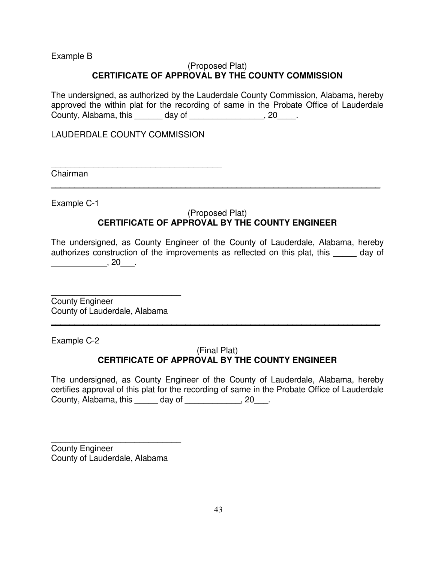Example B

#### (Proposed Plat) **CERTIFICATE OF APPROVAL BY THE COUNTY COMMISSION**

The undersigned, as authorized by the Lauderdale County Commission, Alabama, hereby approved the within plat for the recording of same in the Probate Office of Lauderdale County, Alabama, this \_\_\_\_\_\_ day of \_\_\_\_\_\_\_\_\_\_\_\_\_\_\_\_, 20\_\_\_\_.

LAUDERDALE COUNTY COMMISSION

\_\_\_\_\_\_\_\_\_\_\_\_\_\_\_\_\_\_\_\_\_\_\_\_\_\_\_\_\_\_\_\_\_\_\_\_

Chairman

Example C-1

#### (Proposed Plat) **CERTIFICATE OF APPROVAL BY THE COUNTY ENGINEER**

**\_\_\_\_\_\_\_\_\_\_\_\_\_\_\_\_\_\_\_\_\_\_\_\_\_\_\_\_\_\_\_\_\_\_\_\_\_\_\_\_\_\_\_\_\_\_\_\_\_\_\_\_\_\_\_\_\_\_\_\_\_\_\_\_\_\_\_\_\_\_\_**

The undersigned, as County Engineer of the County of Lauderdale, Alabama, hereby authorizes construction of the improvements as reflected on this plat, this \_\_\_\_\_ day of \_\_\_\_\_\_\_\_\_\_\_\_, 20\_\_\_.

\_\_\_\_\_\_\_\_\_\_\_\_\_\_\_\_\_\_\_\_\_\_\_\_\_\_\_\_ County Engineer County of Lauderdale, Alabama

Example C-2

#### (Final Plat) **CERTIFICATE OF APPROVAL BY THE COUNTY ENGINEER**

**\_\_\_\_\_\_\_\_\_\_\_\_\_\_\_\_\_\_\_\_\_\_\_\_\_\_\_\_\_\_\_\_\_\_\_\_\_\_\_\_\_\_\_\_\_\_\_\_\_\_\_\_\_\_\_\_\_\_\_\_\_\_\_\_\_\_\_\_\_\_\_**

The undersigned, as County Engineer of the County of Lauderdale, Alabama, hereby certifies approval of this plat for the recording of same in the Probate Office of Lauderdale County, Alabama, this \_\_\_\_\_ day of \_\_\_\_\_\_\_\_\_\_\_\_, 20\_\_\_.

County Engineer County of Lauderdale, Alabama

\_\_\_\_\_\_\_\_\_\_\_\_\_\_\_\_\_\_\_\_\_\_\_\_\_\_\_\_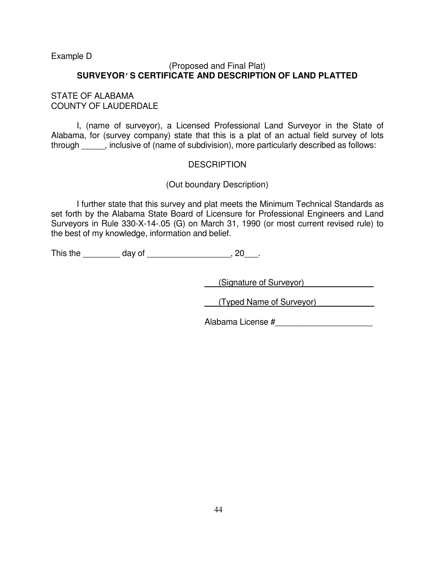Example D

#### (Proposed and Final Plat) **SURVEYOR'S CERTIFICATE AND DESCRIPTION OF LAND PLATTED**

#### STATE OF ALABAMA COUNTY OF LAUDERDALE

 I, (name of surveyor), a Licensed Professional Land Surveyor in the State of Alabama, for (survey company) state that this is a plat of an actual field survey of lots through  $\qquad \qquad$ , inclusive of (name of subdivision), more particularly described as follows:

#### **DESCRIPTION**

#### (Out boundary Description)

 I further state that this survey and plat meets the Minimum Technical Standards as set forth by the Alabama State Board of Licensure for Professional Engineers and Land Surveyors in Rule 330-X-14-.05 (G) on March 31, 1990 (or most current revised rule) to the best of my knowledge, information and belief.

This the \_\_\_\_\_\_\_\_\_\_ day of \_\_\_\_\_\_\_\_\_\_\_\_\_\_\_\_\_\_, 20\_\_\_.

\_\_\_(Signature of Surveyor)\_\_\_\_\_\_\_\_\_\_\_\_\_\_\_

\_\_\_(Typed Name of Surveyor) \_\_\_\_\_\_\_\_\_\_\_\_

Alabama License #\_\_\_\_\_\_\_\_\_\_\_\_\_\_\_\_\_\_\_\_\_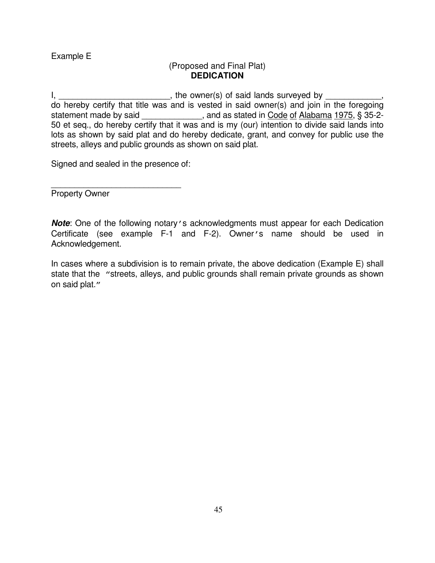#### Example E

#### (Proposed and Final Plat) **DEDICATION**

I, the owner(s) of said lands surveyed by  $\blacksquare$ do hereby certify that title was and is vested in said owner(s) and join in the foregoing statement made by said \_\_\_\_\_\_\_\_\_\_\_\_\_, and as stated in Code of Alabama 1975, § 35-2-50 et seq., do hereby certify that it was and is my (our) intention to divide said lands into lots as shown by said plat and do hereby dedicate, grant, and convey for public use the streets, alleys and public grounds as shown on said plat.

Signed and sealed in the presence of:

\_\_\_\_\_\_\_\_\_\_\_\_\_\_\_\_\_\_\_\_\_\_\_\_\_\_\_\_ Property Owner

**Note**: One of the following notary's acknowledgments must appear for each Dedication Certificate (see example F-1 and F-2). Owner's name should be used in Acknowledgement.

In cases where a subdivision is to remain private, the above dedication (Example E) shall state that the "streets, alleys, and public grounds shall remain private grounds as shown on said plat."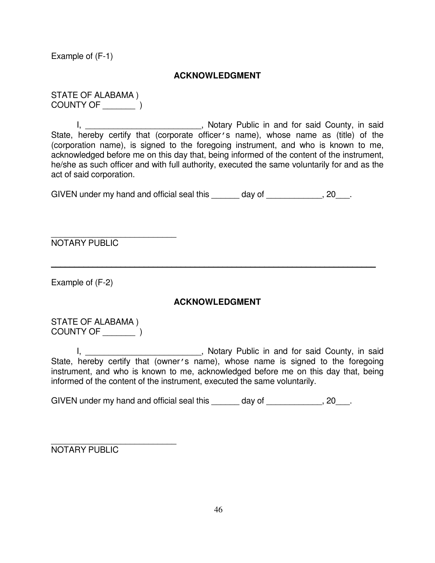Example of (F-1)

#### **ACKNOWLEDGMENT**

STATE OF ALABAMA ) COUNTY OF \_\_\_\_\_\_\_ )

I, \_\_\_\_\_\_\_\_\_\_\_\_\_\_\_\_\_\_\_\_\_\_\_\_\_\_\_, Notary Public in and for said County, in said State, hereby certify that (corporate officer's name), whose name as (title) of the (corporation name), is signed to the foregoing instrument, and who is known to me, acknowledged before me on this day that, being informed of the content of the instrument, he/she as such officer and with full authority, executed the same voluntarily for and as the act of said corporation.

GIVEN under my hand and official seal this day of the mode of the sealing of the sealing of the sealing of the s

\_\_\_\_\_\_\_\_\_\_\_\_\_\_\_\_\_\_\_\_\_\_\_\_\_\_\_ NOTARY PUBLIC

Example of (F-2)

#### **ACKNOWLEDGMENT**

**\_\_\_\_\_\_\_\_\_\_\_\_\_\_\_\_\_\_\_\_\_\_\_\_\_\_\_\_\_\_\_\_\_\_\_\_\_\_\_\_\_\_\_\_\_\_\_\_\_\_\_\_\_\_\_\_\_\_\_\_\_\_\_\_\_\_\_\_\_\_**

STATE OF ALABAMA ) COUNTY OF \_\_\_\_\_\_\_ )

I, **I**, Dotary Public in and for said County, in said State, hereby certify that (owner's name), whose name is signed to the foregoing instrument, and who is known to me, acknowledged before me on this day that, being informed of the content of the instrument, executed the same voluntarily.

GIVEN under my hand and official seal this \_\_\_\_\_\_ day of \_\_\_\_\_\_\_\_\_\_\_, 20\_\_\_.

\_\_\_\_\_\_\_\_\_\_\_\_\_\_\_\_\_\_\_\_\_\_\_\_\_\_\_ NOTARY PUBLIC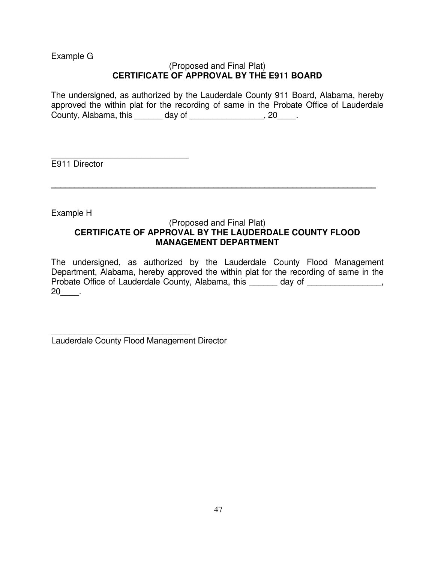Example G

#### (Proposed and Final Plat) **CERTIFICATE OF APPROVAL BY THE E911 BOARD**

The undersigned, as authorized by the Lauderdale County 911 Board, Alabama, hereby approved the within plat for the recording of same in the Probate Office of Lauderdale County, Alabama, this \_\_\_\_\_\_ day of \_\_\_\_\_\_\_\_\_\_\_\_\_\_\_\_, 20\_\_\_\_.

\_\_\_\_\_\_\_\_\_\_\_\_\_\_\_\_\_\_\_\_\_\_\_\_\_\_\_\_\_ E911 Director

Example H

#### (Proposed and Final Plat) **CERTIFICATE OF APPROVAL BY THE LAUDERDALE COUNTY FLOOD MANAGEMENT DEPARTMENT**

**\_\_\_\_\_\_\_\_\_\_\_\_\_\_\_\_\_\_\_\_\_\_\_\_\_\_\_\_\_\_\_\_\_\_\_\_\_\_\_\_\_\_\_\_\_\_\_\_\_\_\_\_\_\_\_\_\_\_\_\_\_\_\_\_\_\_\_\_\_\_**

The undersigned, as authorized by the Lauderdale County Flood Management Department, Alabama, hereby approved the within plat for the recording of same in the Probate Office of Lauderdale County, Alabama, this day of  $\qquad \qquad$ , 20\_\_\_\_.

\_\_\_\_\_\_\_\_\_\_\_\_\_\_\_\_\_\_\_\_\_\_\_\_\_\_\_\_\_\_ Lauderdale County Flood Management Director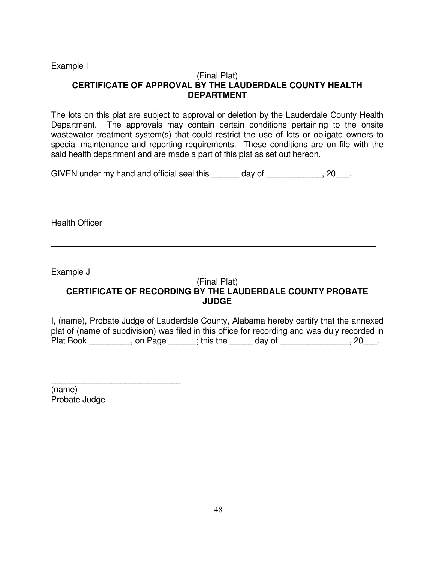Example I

#### (Final Plat) **CERTIFICATE OF APPROVAL BY THE LAUDERDALE COUNTY HEALTH DEPARTMENT**

The lots on this plat are subject to approval or deletion by the Lauderdale County Health Department. The approvals may contain certain conditions pertaining to the onsite wastewater treatment system(s) that could restrict the use of lots or obligate owners to special maintenance and reporting requirements. These conditions are on file with the said health department and are made a part of this plat as set out hereon.

GIVEN under my hand and official seal this \_\_\_\_\_\_ day of \_\_\_\_\_\_\_\_\_\_\_, 20\_\_\_.

Health Officer

\_\_\_\_\_\_\_\_\_\_\_\_\_\_\_\_\_\_\_\_\_\_\_\_\_\_\_\_

Example J

#### (Final Plat) **CERTIFICATE OF RECORDING BY THE LAUDERDALE COUNTY PROBATE JUDGE**

**\_\_\_\_\_\_\_\_\_\_\_\_\_\_\_\_\_\_\_\_\_\_\_\_\_\_\_\_\_\_\_\_\_\_\_\_\_\_\_\_\_\_\_\_\_\_\_\_\_\_\_\_\_\_\_\_\_\_\_\_\_\_\_\_\_\_\_\_\_\_**

I, (name), Probate Judge of Lauderdale County, Alabama hereby certify that the annexed plat of (name of subdivision) was filed in this office for recording and was duly recorded in Plat Book \_\_\_\_\_\_\_\_, on Page \_\_\_\_\_; this the \_\_\_\_\_ day of \_\_\_\_\_\_\_\_\_\_\_\_, 20\_\_\_.

\_\_\_\_\_\_\_\_\_\_\_\_\_\_\_\_\_\_\_\_\_\_\_\_\_\_\_\_ (name) Probate Judge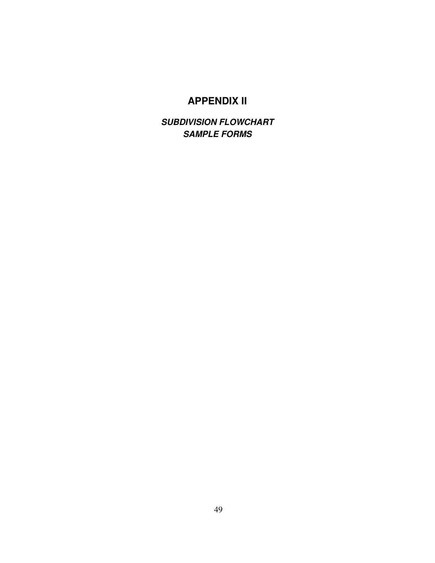## **APPENDIX II**

**SUBDIVISION FLOWCHART SAMPLE FORMS**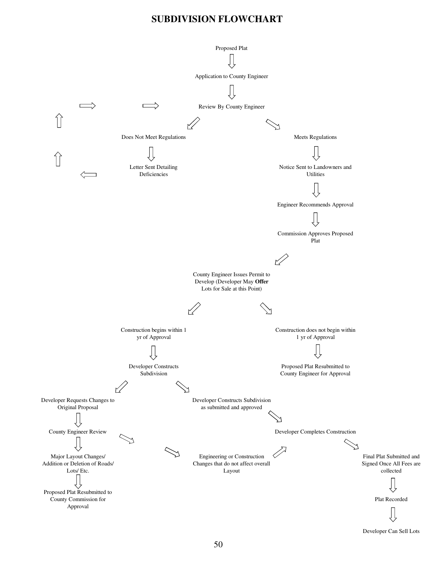#### **SUBDIVISION FLOWCHART**



Developer Can Sell Lots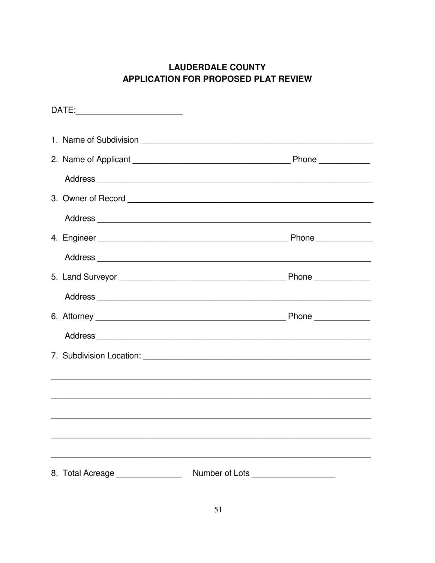## **LAUDERDALE COUNTY APPLICATION FOR PROPOSED PLAT REVIEW**

| 8. Total Acreage ________________ | Number of Lots ____________________ |  |
|-----------------------------------|-------------------------------------|--|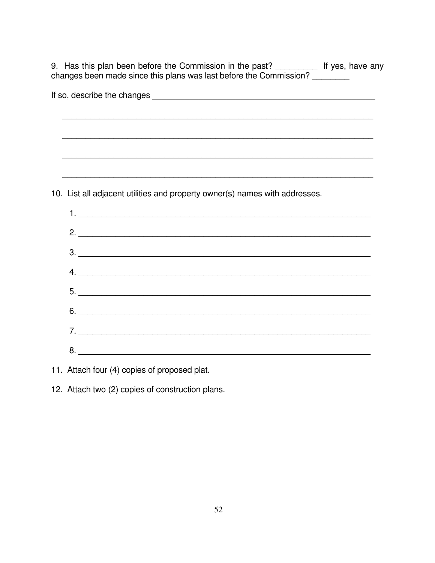9. Has this plan been before the Commission in the past? \_\_\_\_\_\_\_\_\_\_\_ If yes, have any changes been made since this plans was last before the Commission?

| ,我们也不会有什么。""我们的人,我们也不会有什么?""我们的人,我们也不会有什么?""我们的人,我们也不会有什么?""我们的人,我们也不会有什么?""我们的人 |
|----------------------------------------------------------------------------------|
|                                                                                  |
|                                                                                  |
| 10. List all adjacent utilities and property owner(s) names with addresses.      |
|                                                                                  |
|                                                                                  |
| $2.$ $\overline{\phantom{a}}$                                                    |
|                                                                                  |
| 3.                                                                               |
| 4.                                                                               |
|                                                                                  |
| $5.$ $\overline{\phantom{a}}$                                                    |
|                                                                                  |
|                                                                                  |
| $7.$ $\overline{\phantom{a}}$                                                    |
|                                                                                  |
|                                                                                  |

11. Attach four (4) copies of proposed plat.

12. Attach two (2) copies of construction plans.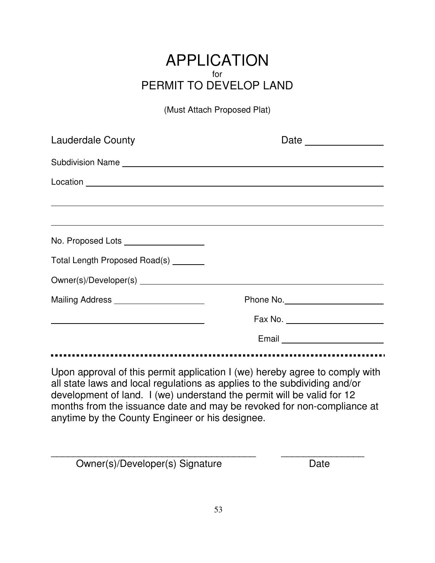## APPLICATION for PERMIT TO DEVELOP LAND

(Must Attach Proposed Plat)

| <b>Lauderdale County</b>                        | Date ______________                                                                                                                                                                                                                                                                                          |
|-------------------------------------------------|--------------------------------------------------------------------------------------------------------------------------------------------------------------------------------------------------------------------------------------------------------------------------------------------------------------|
|                                                 |                                                                                                                                                                                                                                                                                                              |
|                                                 |                                                                                                                                                                                                                                                                                                              |
|                                                 | ,我们也不会有什么。""我们的人,我们也不会有什么?""我们的人,我们也不会有什么?""我们的人,我们也不会有什么?""我们的人,我们也不会有什么?""我们的人                                                                                                                                                                                                                             |
|                                                 |                                                                                                                                                                                                                                                                                                              |
| No. Proposed Lots ___________________           |                                                                                                                                                                                                                                                                                                              |
| Total Length Proposed Road(s) _______           |                                                                                                                                                                                                                                                                                                              |
|                                                 |                                                                                                                                                                                                                                                                                                              |
| Mailing Address ______________________          |                                                                                                                                                                                                                                                                                                              |
|                                                 |                                                                                                                                                                                                                                                                                                              |
|                                                 | Email <b>Exercise Service Contract Contract Contract Contract Contract Contract Contract Contract Contract Contract Contract Contract Contract Contract Contract Contract Contract Contract Contract Contract Contract Contract </b>                                                                         |
|                                                 |                                                                                                                                                                                                                                                                                                              |
| anytime by the County Engineer or his designee. | Upon approval of this permit application I (we) hereby agree to comply with<br>all state laws and local regulations as applies to the subdividing and/or<br>development of land. I (we) understand the permit will be valid for 12<br>months from the issuance date and may be revoked for non-compliance at |

\_\_\_\_\_\_\_\_\_\_\_\_\_\_\_\_\_\_\_\_\_\_\_\_\_\_\_\_\_\_\_\_\_\_\_\_\_ \_\_\_\_\_\_\_\_\_\_\_\_\_\_\_ Owner(s)/Developer(s) Signature Date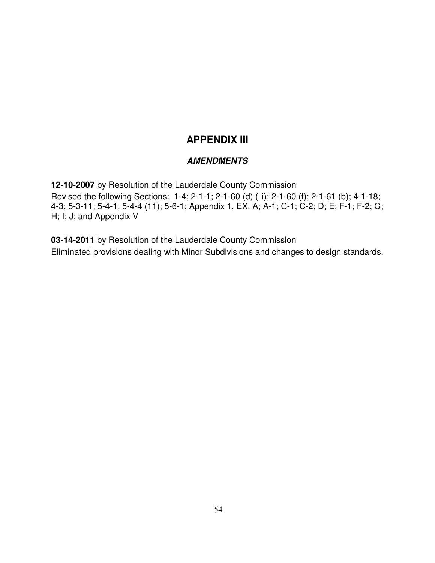## **APPENDIX III**

#### **AMENDMENTS**

**12-10-2007** by Resolution of the Lauderdale County Commission Revised the following Sections: 1-4; 2-1-1; 2-1-60 (d) (iii); 2-1-60 (f); 2-1-61 (b); 4-1-18; 4-3; 5-3-11; 5-4-1; 5-4-4 (11); 5-6-1; Appendix 1, EX. A; A-1; C-1; C-2; D; E; F-1; F-2; G; H; I; J; and Appendix V

**03-14-2011** by Resolution of the Lauderdale County Commission Eliminated provisions dealing with Minor Subdivisions and changes to design standards.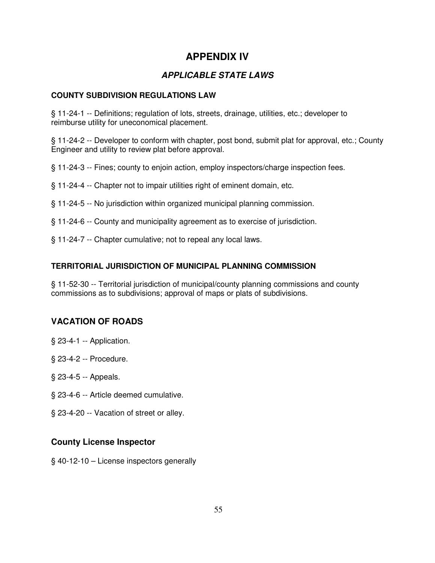## **APPENDIX IV**

### **APPLICABLE STATE LAWS**

#### **COUNTY SUBDIVISION REGULATIONS LAW**

§ 11-24-1 -- Definitions; regulation of lots, streets, drainage, utilities, etc.; developer to reimburse utility for uneconomical placement.

§ 11-24-2 -- Developer to conform with chapter, post bond, submit plat for approval, etc.; County Engineer and utility to review plat before approval.

- § 11-24-3 -- Fines; county to enjoin action, employ inspectors/charge inspection fees.
- § 11-24-4 -- Chapter not to impair utilities right of eminent domain, etc.
- § 11-24-5 -- No jurisdiction within organized municipal planning commission.
- § 11-24-6 -- County and municipality agreement as to exercise of jurisdiction.
- § 11-24-7 -- Chapter cumulative; not to repeal any local laws.

#### **TERRITORIAL JURISDICTION OF MUNICIPAL PLANNING COMMISSION**

§ 11-52-30 -- Territorial jurisdiction of municipal/county planning commissions and county commissions as to subdivisions; approval of maps or plats of subdivisions.

#### **VACATION OF ROADS**

- § 23-4-1 -- Application.
- § 23-4-2 -- Procedure.
- § 23-4-5 -- Appeals.
- § 23-4-6 -- Article deemed cumulative.
- § 23-4-20 -- Vacation of street or alley.

#### **County License Inspector**

§ 40-12-10 – License inspectors generally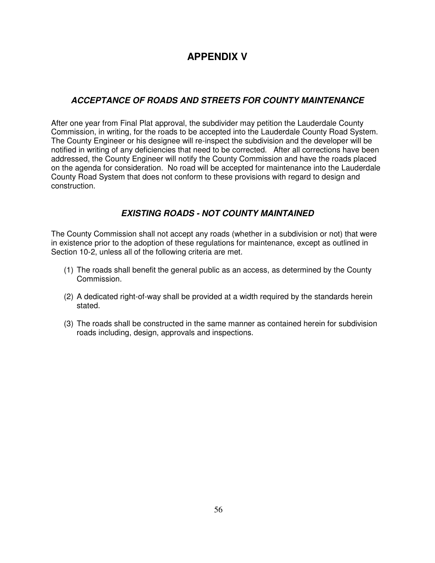## **APPENDIX V**

#### **ACCEPTANCE OF ROADS AND STREETS FOR COUNTY MAINTENANCE**

After one year from Final Plat approval, the subdivider may petition the Lauderdale County Commission, in writing, for the roads to be accepted into the Lauderdale County Road System. The County Engineer or his designee will re-inspect the subdivision and the developer will be notified in writing of any deficiencies that need to be corrected. After all corrections have been addressed, the County Engineer will notify the County Commission and have the roads placed on the agenda for consideration. No road will be accepted for maintenance into the Lauderdale County Road System that does not conform to these provisions with regard to design and construction.

#### **EXISTING ROADS - NOT COUNTY MAINTAINED**

The County Commission shall not accept any roads (whether in a subdivision or not) that were in existence prior to the adoption of these regulations for maintenance, except as outlined in Section 10-2, unless all of the following criteria are met.

- (1) The roads shall benefit the general public as an access, as determined by the County Commission.
- (2) A dedicated right-of-way shall be provided at a width required by the standards herein stated.
- (3) The roads shall be constructed in the same manner as contained herein for subdivision roads including, design, approvals and inspections.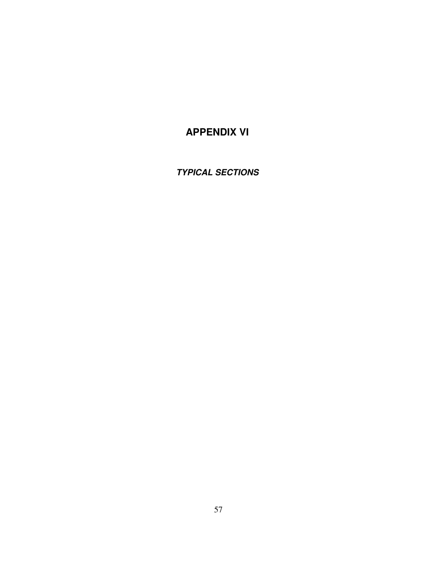## **APPENDIX VI**

**TYPICAL SECTIONS**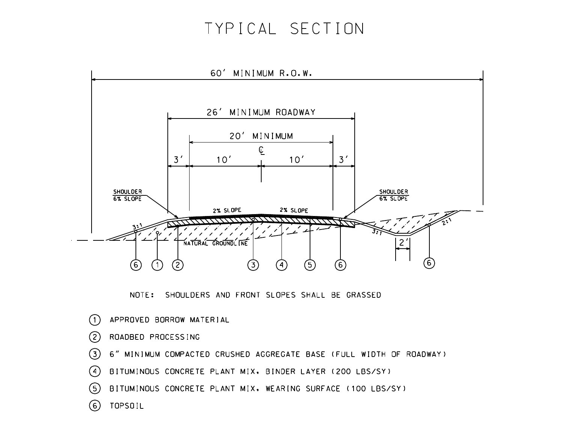# TYPICAL SECTION



NOTE: SHOULDERS AND FRONT SLOPES SHALL BE GRASSED

APPROVED BORROW MATERIAL  $(1)$  $(2)$ ROADBED PROCESSING  $(3)$ 6" MINIMUM COMPACTED CRUSHED AGGREGATE BASE (FULL WIDTH OF ROADWAY)  $\binom{4}{}$ BITUMINOUS CONCRETE PLANT MIX. BINDER LAYER (200 LBS/SY) BITUMINOUS CONCRETE PLANT MIX. WEARING SURFACE (100 LBS/SY)  $(5)$ (6) TOPSOIL